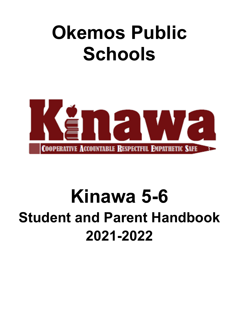# **Okemos Public Schools**



# **Kinawa 5-6 Student and Parent Handbook 2021-2022**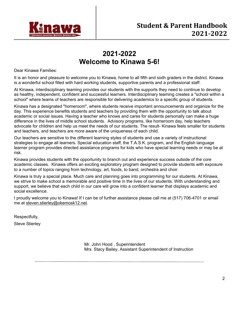

# **2021-2022 Welcome to Kinawa 5-6!**

Dear Kinawa Families:

It is an honor and pleasure to welcome you to Kinawa, home to all fifth and sixth graders in the district. Kinawa is a wonderful school filled with hard working students, supportive parents and a professional staff.

At Kinawa, interdisciplinary teaming provides our students with the supports they need to continue to develop as healthy, independent, confident and successful learners. Interdisciplinary teaming creates a "school within a school" where teams of teachers are responsible for delivering academics to a specific group of students.

Kinawa has a designated "homeroom", where students receive important announcements and organize for the day. This experience benefits students and teachers by providing them with the opportunity to talk about academic or social issues. Having a teacher who knows and cares for students personally can make a huge difference in the lives of middle school students. Advisory programs, like homeroom day, help teachers advocate for children and help us meet the needs of our students. The result- Kinawa feels smaller for students and teachers, and teachers are more aware of the uniqueness of each child.

Our teachers are sensitive to the different learning styles of students and use a variety of instructional strategies to engage all learners. Special education staff, the T.A.S.K. program, and the English language learner program provides directed assistance programs for kids who have special learning needs or may be at risk.

Kinawa provides students with the opportunity to branch out and experience success outside of the core academic classes. Kinawa offers an exciting exploratory program designed to provide students with exposure to a number of topics ranging from technology, art, foods, to band, orchestra and choir.

Kinawa is truly a special place. Much care and planning goes into programming for our students. At Kinawa, we strive to make school a memorable and positive time in the lives of our students. With understanding and support, we believe that each child in our care will grow into a confident learner that displays academic and social excellence.

I proudly welcome you to Kinawa! If I can be of further assistance please call me at (517) 706-4701 or email me at steven.stierley@okemosk12.net.

Respectfully,

Steve Stierley

Mr. John Hood , Superintendent Mrs. Stacy Bailey, Assistant Superintendent of Instruction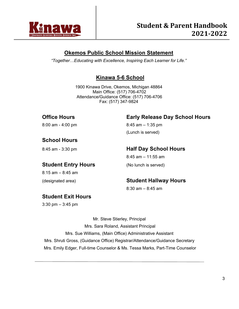

# **Okemos Public School Mission Statement**

*"Together…Educating with Excellence, Inspiring Each Learner for Life."* 

# **Kinawa 5-6 School**

1900 Kinawa Drive, Okemos, Michigan 48864 Main Office: (517) 706-4702 Attendance/Guidance Office: (517) 706-4706 Fax: (517) 347-9824

# **Office Hours Early Release Day School Hours**

8:00 am - 4:00 pm 8:45 am – 1:35 pm (Lunch is served)

# **School Hours**

# 8:45 am - 3:30 pm **Half Day School Hours**

 $8:45$  am  $-11:55$  am

# **Student Entry Hours** (No lunch is served)

8:15 am – 8:45 am

# (designated area) **Student Hallway Hours**

8:30 am – 8:45 am

# **Student Exit Hours**

3:30 pm – 3:45 pm

Mr. Steve Stierley, Principal

Mrs. Sara Roland, Assistant Principal Mrs. Sue Williams, (Main Office) Administrative Assistant Mrs. Shruti Gross, (Guidance Office) Registrar/Attendance/Guidance Secretary Mrs. Emily Edger, Full-time Counselor & Ms. Tessa Marks, Part-Time Counselor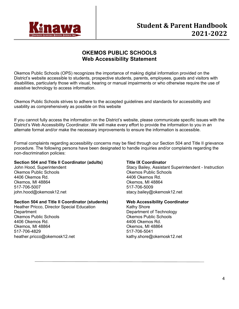

# **OKEMOS PUBLIC SCHOOLS Web Accessibility Statement**

Okemos Public Schools (OPS) recognizes the importance of making digital information provided on the District's website accessible to students, prospective students, parents, employees, guests and visitors with disabilities, particularly those with visual, hearing or manual impairments or who otherwise require the use of assistive technology to access information.

Okemos Public Schools strives to adhere to the accepted guidelines and standards for accessibility and usability as comprehensively as possible on this website

If you cannot fully access the information on the District's website, please communicate specific issues with the District's Web Accessibility Coordinator. We will make every effort to provide the information to you in an alternate format and/or make the necessary improvements to ensure the information is accessible.

Formal complaints regarding accessibility concerns may be filed through our Section 504 and Title II grievance procedure. The following persons have been designated to handle inquiries and/or complaints regarding the non-discrimination policies:

#### **Section 504 and Title II Coordinator (adults)**

John Hood, Superintendent Okemos Public Schools 4406 Okemos Rd. Okemos, MI 48864 517-706-5007 john.hood@okemosk12.net

#### **Section 504 and Title II Coordinator (students)**

Heather Pricco, Director Special Education **Department** Okemos Public Schools 4406 Okemos Rd. Okemos, MI 48864 517-706-4829 heather.pricco@okemosk12.net

#### **Title IX Coordinator**

Stacy Bailey, Assistant Superintendent - Instruction Okemos Public Schools 4406 Okemos Rd. Okemos, MI 48864 517-706-5009 stacy.bailey@okemosk12.net

#### **Web Accessibility Coordinator**

Kathy Shore Department of Technology Okemos Public Schools 4406 Okemos Rd. Okemos, MI 48864 517-706-5041 kathy.shore@okemosk12.net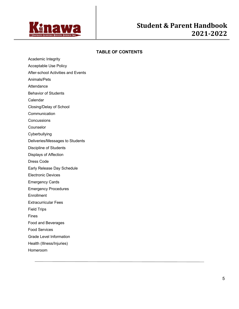

#### **TABLE OF CONTENTS**

- Academic Integrity
- Acceptable Use Policy
- After-school Activities and Events
- Animals/Pets
- **Attendance**
- Behavior of Students
- Calendar
- Closing/Delay of School
- Communication
- **Concussions**
- Counselor
- Cyberbullying
- Deliveries/Messages to Students
- Discipline of Students
- Displays of Affection
- Dress Code
- Early Release Day Schedule
- Electronic Devices
- Emergency Cards
- Emergency Procedures
- **Enrollment**
- Extracurricular Fees
- Field Trips
- Fines
- Food and Beverages
- Food Services
- Grade Level Information
- Health (Illness/Injuries)
- Homeroom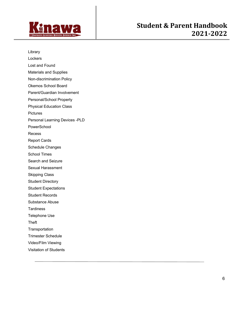

Library **Lockers** Lost and Found Materials and Supplies Non-discrimination Policy Okemos School Board Parent/Guardian Involvement Personal/School Property Physical Education Class **Pictures** Personal Learning Devices -PLD PowerSchool Recess Report Cards Schedule Changes School Times Search and Seizure Sexual Harassment Skipping Class Student Directory Student Expectations Student Records Substance Abuse **Tardiness** Telephone Use **Theft Transportation** Trimester Schedule Video/Film Viewing Visitation of Students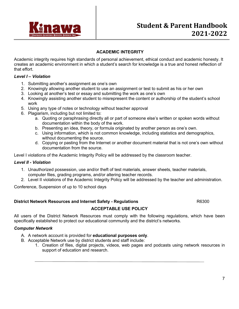

#### **ACADEMIC INTEGRITY**

Academic integrity requires high standards of personal achievement, ethical conduct and academic honesty. It creates an academic environment in which a student's search for knowledge is a true and honest reflection of that effort.

#### *Level I – Violation*

- 1. Submitting another's assignment as one's own
- 2. Knowingly allowing another student to use an assignment or test to submit as his or her own
- 3. Looking at another's test or essay and submitting the work as one's own
- 4. Knowingly assisting another student to misrepresent the content or authorship of the student's school work
- 5. Using any type of notes or technology without teacher approval
- 6. Plagiarism, including but not limited to:
	- a. Quoting or paraphrasing directly all or part of someone else's written or spoken words without documentation within the body of the work.
	- b. Presenting an idea, theory, or formula originated by another person as one's own.
	- c. Using information, which is not common knowledge, including statistics and demographics, without documenting the source.
	- d. Copying or pasting from the Internet or another document material that is not one's own without documentation from the source.

Level I violations of the Academic Integrity Policy will be addressed by the classroom teacher.

#### *Level II - Violation*

- 1. Unauthorized possession, use and/or theft of test materials, answer sheets, teacher materials, computer files, grading programs, and/or altering teacher records.
- 2. Level II violations of the Academic Integrity Policy will be addressed by the teacher and administration.

Conference, Suspension of up to 10 school days

#### **District Network Resources and Internet Safety - Regulations <br>R6300**

#### **ACCEPTABLE USE POLICY**

All users of the District Network Resources must comply with the following regulations, which have been specifically established to protect our educational community and the district's networks.

#### *Computer Network*

- A. A network account is provided for **educational purposes only**.
- B. Acceptable Network use by district students and staff include:
	- 1. Creation of files, digital projects, videos, web pages and podcasts using network resources in support of education and research.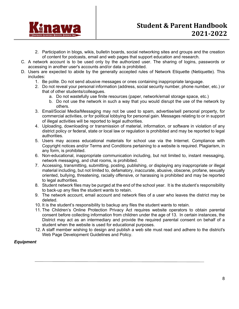

- 2. Participation in blogs, wikis, bulletin boards, social networking sites and groups and the creation of content for podcasts, email and web pages that support education and research.
- C. A network account is to be used only by the authorized user. The sharing of logins, passwords or accessing in another user's accounts and/or data is prohibited.
- D. Users are expected to abide by the generally accepted rules of Network Etiquette (Netiquette). This includes:
	- 1. Be polite. Do not send abusive messages or ones containing inappropriate language.
	- 2. Do not reveal your personal information (address, social security number, phone number, etc.) or that of other students/colleagues.
		- a. Do not wastefully use finite resources (paper, network/email storage space, etc.)
		- b. Do not use the network in such a way that you would disrupt the use of the network by others.
	- 3. Email/Social Media/Messaging may not be used to spam, advertise/sell personal property, for commercial activities, or for political lobbying for personal gain. Messages relating to or in support of illegal activities will be reported to legal authorities.
	- 4. Uploading, downloading or transmission of material, information, or software in violation of any district policy or federal, state or local law or regulation is prohibited and may be reported to legal authorities.
	- 5. Users may access educational materials for school use via the Internet. Compliance with Copyright notices and/or Terms and Conditions pertaining to a website is required. Plagiarism, in any form, is prohibited.
	- 6. Non-educational, inappropriate communication including, but not limited to, instant messaging, network messaging, and chat rooms, is prohibited.
	- 7. Accessing, transmitting, submitting, posting, publishing, or displaying any inappropriate or illegal material including, but not limited to, defamatory, inaccurate, abusive, obscene, profane, sexually oriented, bullying, threatening, racially offensive, or harassing is prohibited and may be reported to legal authorities.
	- 8. Student network files may be purged at the end of the school year. It is the student's responsibility to back-up any files the student wants to retain.
	- 9. The network account, email account and network files of a user who leaves the district may be deleted.
	- 10. It is the student's responsibility to backup any files the student wants to retain.
	- 11. The Children's Online Protection Privacy Act requires website operators to obtain parental consent before collecting information from children under the age of 13. In certain instances, the District may act as an intermediary and provide the required parental consent on behalf of a student when the website is used for educational purposes.
	- 12. A staff member wishing to design and publish a web site must read and adhere to the district's Web Page Development Guidelines and Policy.

#### *Equipment*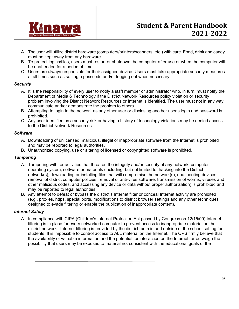

- A. The user will utilize district hardware (computers/printers/scanners, etc.) with care. Food, drink and candy must be kept away from any hardware.
- B. To protect logins/files, users must restart or shutdown the computer after use or when the computer will be unattended for a period of time.
- C. Users are always responsible for their assigned device. Users must take appropriate security measures at all times such as setting a passcode and/or logging out when necessary.

#### *Security*

- A. It is the responsibility of every user to notify a staff member or administrator who, in turn, must notify the Department of Media & Technology if the District Network Resources policy violation or security problem involving the District Network Resources or Internet is identified. The user must not in any way communicate and/or demonstrate the problem to others.
- B. Attempting to login to the network as any other user or disclosing another user's login and password is prohibited.
- C. Any user identified as a security risk or having a history of technology violations may be denied access to the District Network Resources.

#### *Software*

- A. Downloading of unlicensed, malicious, illegal or inappropriate software from the Internet is prohibited and may be reported to legal authorities.
- B. Unauthorized copying, use or altering of licensed or copyrighted software is prohibited.

#### *Tampering*

- A. Tampering with, or activities that threaten the integrity and/or security of any network, computer operating system, software or materials (including, but not limited to, hacking into the District network(s), downloading or installing files that will compromise the network(s), dual booting devices, removal of district computer policies, removal of anti-virus software, transmission of worms, viruses and other malicious codes, and accessing any device or data without proper authorization) is prohibited and may be reported to legal authorities.
- B. Any attempt to defeat or bypass the district's Internet filter or conceal Internet activity are prohibited (e.g., proxies, https, special ports, modifications to district browser settings and any other techniques designed to evade filtering or enable the publication of inappropriate content).

#### *Internet Safety*

A. In compliance with CIPA (Children's Internet Protection Act passed by Congress on 12/15/00) Internet filtering is in place for every networked computer to prevent access to inappropriate material on the district network. Internet filtering is provided by the district, both in and outside of the school setting for students. It is impossible to control access to ALL material on the Internet. The OPS firmly believe that the availability of valuable information and the potential for interaction on the Internet far outweigh the possibility that users may be exposed to material not consistent with the educational goals of the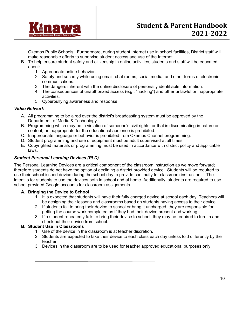

Okemos Public Schools. Furthermore, during student Internet use in school facilities, District staff will make reasonable efforts to supervise student access and use of the Internet.

- B. To help ensure student safety and citizenship in online activities, students and staff will be educated about:
	- 1. Appropriate online behavior.
	- 2. Safety and security while using email, chat rooms, social media, and other forms of electronic communications.
	- 3. The dangers inherent with the online disclosure of personally identifiable information.
	- 4. The consequences of unauthorized access (e.g., "hacking") and other unlawful or inappropriate activities.
	- 5. Cyberbullying awareness and response.

#### *Video Network*

- A. All programming to be aired over the district's broadcasting system must be approved by the Department of Media & Technology.
- B. Programming which may be in violation of someone's civil rights, or that is discriminating in nature or content, or inappropriate for the educational audience is prohibited.
- C. Inappropriate language or behavior is prohibited from Okemos Channel programming.
- D. Student programming and use of equipment must be adult supervised at all times.
- E. Copyrighted materials or programming must be used in accordance with district policy and applicable laws.

### *Student Personal Learning Devices (PLD)*

The Personal Learning Devices are a critical component of the classroom instruction as we move forward; therefore students do not have the option of declining a district provided device. Students will be required to use their school issued device during the school day to provide continuity for classroom instruction. The intent is for students to use the devices both in school and at home. Additionally, students are required to use school-provided Google accounts for classroom assignments.

### **A. Bringing the Device to School**

- 1. It is expected that students will have their fully charged device at school each day. Teachers will be designing their lessons and classrooms based on students having access to their device.
- 2. If students fail to bring their device to school or bring it uncharged, they are responsible for getting the course work completed as if they had their device present and working.
- 3. If a student repeatedly fails to bring their device to school, they may be required to turn in and check out their device from school.

### **B. Student Use in Classrooms**

- 1. Use of the device in the classroom is at teacher discretion.
- 2. Students are expected to take their device to each class each day unless told differently by the teacher.
- 3. Devices in the classroom are to be used for teacher approved educational purposes only.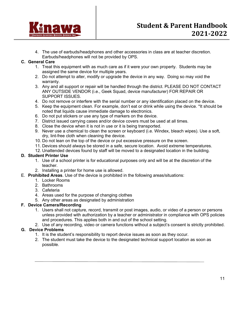

4. The use of earbuds/headphones and other accessories in class are at teacher discretion. Earbuds/headphones will not be provided by OPS.

#### **C. General Care**

- 1. Treat this equipment with as much care as if it were your own property. Students may be assigned the same device for multiple years.
- 2. Do not attempt to alter, modify or upgrade the device in any way. Doing so may void the warranty.
- 3. Any and all support or repair will be handled through the district. PLEASE DO NOT CONTACT ANY OUTSIDE VENDOR (i.e., Geek Squad, device manufacturer) FOR REPAIR OR SUPPORT ISSUES.
- 4. Do not remove or interfere with the serial number or any identification placed on the device.
- 5. Keep the equipment clean. For example, don't eat or drink while using the device. \*It should be noted that liquids cause immediate damage to electronics.
- 6. Do not put stickers or use any type of markers on the device.
- 7. District issued carrying cases and/or device covers must be used at all times.
- 8. Close the device when it is not in use or it is being transported.
- 9. Never use a chemical to clean the screen or keyboard (i.e. Windex, bleach wipes). Use a soft, dry, lint-free cloth when cleaning the device.
- 10. Do not lean on the top of the device or put excessive pressure on the screen.
- 11. Devices should always be stored in a safe, secure location. Avoid extreme temperatures.
- 12. Unattended devices found by staff will be moved to a designated location in the building.

#### **D. Student Printer Use**

- 1. Use of a school printer is for educational purposes only and will be at the discretion of the teacher.
- 2. Installing a printer for home use is allowed.
- E. **Prohibited Areas**. Use of the device is prohibited in the following areas/situations:
	- 1. Locker Rooms
	- 2. Bathrooms
	- 3. Cafeteria
	- 4. Areas used for the purpose of changing clothes
	- 5. Any other areas as designated by administration

#### **F. Device Camera/Recording**

- 1. Users shall not capture, record, transmit or post images, audio, or video of a person or persons unless provided with authorization by a teacher or administrator in compliance with OPS policies and procedures. This applies both in and out of the school setting.
- 2. Use of any recording, video or camera functions without a subject's consent is strictly prohibited.

#### **G. Device Problems**

- 1. It is the student's responsibility to report device issues as soon as they occur.
- 2. The student must take the device to the designated technical support location as soon as possible.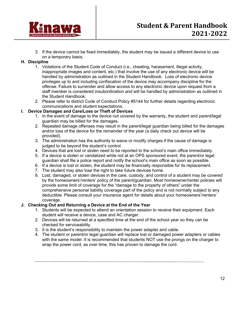

3. If the device cannot be fixed immediately, the student may be issued a different device to use on a temporary basis.

#### **H. Discipline**

- 1. Violations of the Student Code of Conduct (i.e., cheating, harassment, illegal activity, inappropriate images and content, etc.) that involve the use of any electronic device will be handled by administration as outlined in the Student Handbook. Loss of electronic device privileges up to and including confiscation of the device may accompany discipline for the offense. Failure to surrender and allow access to any electronic device upon request from a staff member is considered insubordination and will be handled by administration as outlined in the Student Handbook.
- 2. Please refer to district Code of Conduct Policy #5144 for further details regarding electronic communications and student expectations.

#### **I. Device Damages and Care/Loss or Theft of Devices**

- 1. In the event of damage to the device not covered by the warranty, the student and parent/legal guardian may be billed for the damages.
- 2. Repeated damage offenses may result in the parent/legal guardian being billed for the damages and/or loss of the device for the remainder of the year (a daily check out device will be provided).
- 3. The administration has the authority to waive or modify charges if the cause of damage is judged to be beyond the student's control.
- 4. Devices that are lost or stolen need to be reported to the school's main office immediately.
- 5. If a device is stolen or vandalized while not at an OPS sponsored event, the parent/or legal guardian shall file a police report and notify the school's main office as soon as possible.
- 6. If a device is lost or stolen, the student may be financially responsible for its replacement.
- 7. The student may also lose the right to take future devices home.
- 8. Lost, damaged, or stolen devices in the care, custody, and control of a student may be covered by the homeowners'/renters' policy of the parent/guardian. Most homeowner/renter policies will provide some limit of coverage for the "damage to the property of others" under the comprehensive personal liability coverage part of the policy and is not normally subject to any deductible. Please consult your insurance agent for details about your homeowners'/renters' coverage.

#### **J. Checking Out and Returning a Device at the End of the Year**

- 1. Students will be expected to attend an orientation session to receive their equipment. Each student will receive a device, case and AC charger.
- 2. Devices will be returned at a specified time at the end of the school year so they can be checked for serviceability.
- 3. It is the student's responsibility to maintain the power adapter and cable.
- 4. The student or parent/or legal guardian will replace lost or damaged power adapters or cables with the same model. It is recommended that students NOT use the prongs on the charger to wrap the power cord, as over time, this has proven to damage the cord.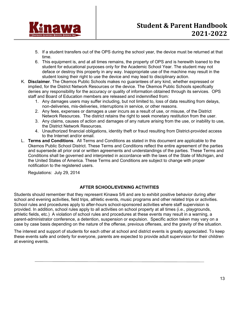

- 5. If a student transfers out of the OPS during the school year, the device must be returned at that time.
- 6. This equipment is, and at all times remains, the property of OPS and is herewith loaned to the student for educational purposes only for the Academic School Year. The student may not deface or destroy this property in any way. Inappropriate use of the machine may result in the student losing their right to use the device and may lead to disciplinary action.
- K. **Disclaimer**. The Okemos Public Schools makes no guarantees of any kind, whether expressed or implied, for the District Network Resources or the device. The Okemos Public Schools specifically denies any responsibility for the accuracy or quality of information obtained through its services. OPS staff and Board of Education members are released and indemnified from:
	- 1. Any damages users may suffer including, but not limited to, loss of data resulting from delays, non-deliveries, mis-deliveries, interruptions in service, or other reasons.
	- 2. Any fees, expenses or damages a user incurs as a result of use, or misuse, of the District Network Resources. The district retains the right to seek monetary restitution from the user.
	- 3. Any claims, causes of action and damages of any nature arising from the use, or inability to use, the District Network Resources.
	- 4. Unauthorized financial obligations, identity theft or fraud resulting from District-provided access to the Internet and/or email.
- L. **Terms and Conditions**. All Terms and Conditions as stated in this document are applicable to the Okemos Public School District. These Terms and Conditions reflect the entire agreement of the parties and supersede all prior oral or written agreements and understandings of the parties. These Terms and Conditions shall be governed and interpreted in accordance with the laws of the State of Michigan, and the United States of America. These Terms and Conditions are subject to change with proper notification to the registered users.

Regulations: July 29, 2014

#### **AFTER SCHOOL/EVENING ACTIVITIES**

Students should remember that they represent Kinawa 5/6 and are to exhibit positive behavior during after school and evening activities, field trips, athletic events, music programs and other related trips or activities. School rules and procedures apply to after-hours school-sponsored activities where staff supervision is provided. In addition, school rules apply to all activities on school property at all times (i.e., playgrounds, athletic fields, etc.) A violation of school rules and procedures at these events may result in a warning, a parent-administrator conference, a detention, suspension or expulsion. Specific action taken may vary on a case by case basis depending on the nature of the offense, previous offenses, and the gravity of the situation.

The interest and support of students for each other at school and district events is greatly appreciated. To keep these events safe and orderly for everyone, parents are expected to provide adult supervision for their children at evening events.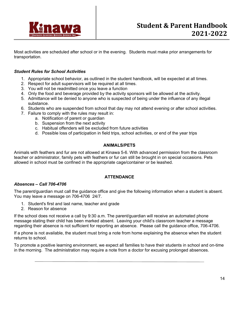

Most activities are scheduled after school or in the evening. Students must make prior arrangements for transportation.

#### *Student Rules for School Activities*

- 1. Appropriate school behavior, as outlined in the student handbook, will be expected at all times.
- 2. Respect for adult supervisors will be required at all times.
- 3. You will not be readmitted once you leave a function
- 4. Only the food and beverage provided by the activity sponsors will be allowed at the activity.
- 5. Admittance will be denied to anyone who is suspected of being under the influence of any illegal substance.
- 6. Students who are suspended from school that day may not attend evening or after school activities.
- 7. Failure to comply with the rules may result in:
	- a. Notification of parent or guardian
	- b. Suspension from the next activity
	- c. Habitual offenders will be excluded from future activities
	- d. Possible loss of participation in field trips, school activities, or end of the year trips

#### **ANIMALS/PETS**

Animals with feathers and fur are not allowed at Kinawa 5-6. With advanced permission from the classroom teacher or administrator, family pets with feathers or fur can still be brought in on special occasions. Pets allowed in school must be confined in the appropriate cage/container or be leashed.

#### **ATTENDANCE**

#### *Absences – Call 706-4706*

The parent/guardian must call the guidance office and give the following information when a student is absent. You may leave a message on 706-4706 24/7.

- 1. Student's first and last name, teacher and grade
- 2. Reason for absence

If the school does not receive a call by 9:30 a.m. The parent/guardian will receive an automated phone message stating their child has been marked absent. Leaving your child's classroom teacher a message regarding their absence is not sufficient for reporting an absence. Please call the guidance office, 706-4706.

If a phone is not available, the student must bring a note from home explaining the absence when the student returns to school.

To promote a positive learning environment, we expect all families to have their students in school and on-time in the morning. The administration may require a note from a doctor for excusing prolonged absences.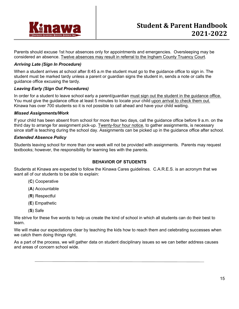

Parents should excuse 1st hour absences only for appointments and emergencies. Oversleeping may be considered an absence. Twelve absences may result in referral to the Ingham County Truancy Court.

#### *Arriving Late (Sign In Procedure)*

When a student arrives at school after 8:45 a.m the student must go to the guidance office to sign in. The student must be marked tardy unless a parent or guardian signs the student in, sends a note or calls the guidance office excusing the tardy.

#### *Leaving Early (Sign Out Procedures)*

In order for a student to leave school early a parent/guardian must sign out the student in the guidance office. You must give the guidance office at least 5 minutes to locate your child upon arrival to check them out. Kinawa has over 700 students so it is not possible to call ahead and have your child waiting.

#### *Missed Assignments/Work*

If your child has been absent from school for more than two days, call the guidance office before 9 a.m. on the third day to arrange for assignment pick-up. Twenty-four hour notice, to gather assignments, is necessary since staff is teaching during the school day. Assignments can be picked up in the guidance office after school.

#### *Extended Absence Policy*

Students leaving school for more than one week will not be provided with assignments. Parents may request textbooks; however, the responsibility for learning lies with the parents.

#### **BEHAVIOR OF STUDENTS**

Students at Kinawa are expected to follow the Kinawa Cares guidelines. C.A.R.E.S. is an acronym that we want all of our students to be able to explain:

- (**C**) Cooperative
- (**A**) Accountable
- (**R**) Respectful
- (**E**) Empathetic
- (**S**) Safe

We strive for these five words to help us create the kind of school in which all students can do their best to learn.

We will make our expectations clear by teaching the kids how to reach them and celebrating successes when we catch them doing things right.

As a part of the process, we will gather data on student disciplinary issues so we can better address causes and areas of concern school wide.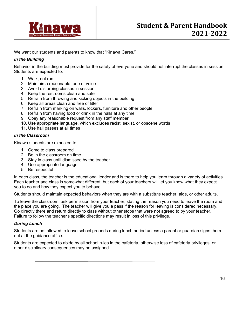

We want our students and parents to know that "Kinawa Cares."

#### *In the Building*

Behavior in the building must provide for the safety of everyone and should not interrupt the classes in session. Students are expected to:

- 1. Walk, not run
- 2. Maintain a reasonable tone of voice
- 3. Avoid disturbing classes in session
- 4. Keep the restrooms clean and safe
- 5. Refrain from throwing and kicking objects in the building
- 6. Keep all areas clean and free of litter
- 7. Refrain from marking on walls, lockers, furniture and other people
- 8. Refrain from having food or drink in the halls at any time
- 9. Obey any reasonable request from any staff member
- 10. Use appropriate language, which excludes racist, sexist, or obscene words
- 11. Use hall passes at all times

#### *In the Classroom*

Kinawa students are expected to:

- 1. Come to class prepared
- 2. Be in the classroom on time
- 3. Stay in class until dismissed by the teacher
- 4. Use appropriate language
- 5. Be respectful

In each class, the teacher is the educational leader and is there to help you learn through a variety of activities. Each teacher and class is somewhat different, but each of your teachers will let you know what they expect you to do and how they expect you to behave.

Students should maintain expected behaviors when they are with a substitute teacher, aide, or other adults.

To leave the classroom, ask permission from your teacher, stating the reason you need to leave the room and the place you are going. The teacher will give you a pass if the reason for leaving is considered necessary. Go directly there and return directly to class without other stops that were not agreed to by your teacher. Failure to follow the teacher's specific directions may result in loss of this privilege.

#### *During Lunch*

Students are not allowed to leave school grounds during lunch period unless a parent or guardian signs them out at the guidance office.

Students are expected to abide by all school rules in the cafeteria, otherwise loss of cafeteria privileges, or other disciplinary consequences may be assigned.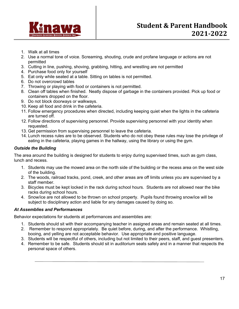

- 1. Walk at all times
- 2. Use a normal tone of voice. Screaming, shouting, crude and profane language or actions are not permitted
- 3. Cutting in line, pushing, shoving, grabbing, hitting, and wrestling are not permitted
- 4. Purchase food only for yourself
- 5. Eat only while seated at a table. Sitting on tables is not permitted.
- 6. Do not overcrowd tables
- 7. Throwing or playing with food or containers is not permitted.
- 8. Clean off tables when finished. Neatly dispose of garbage in the containers provided. Pick up food or containers dropped on the floor.
- 9. Do not block doorways or walkways.
- 10. Keep all food and drink in the cafeteria.
- 11. Follow emergency procedures when directed, including keeping quiet when the lights in the cafeteria are turned off.
- 12. Follow directions of supervising personnel. Provide supervising personnel with your identity when requested.
- 13. Get permission from supervising personnel to leave the cafeteria.
- 14. Lunch recess rules are to be observed. Students who do not obey these rules may lose the privilege of eating in the cafeteria, playing games in the hallway, using the library or using the gym.

#### *Outside the Building*

The area around the building is designed for students to enjoy during supervised times, such as gym class, lunch and recess.

- 1. Students may use the mowed area on the north side of the building or the recess area on the west side of the building.
- 2. The woods, railroad tracks, pond, creek, and other areas are off limits unless you are supervised by a staff member.
- 3. Bicycles must be kept locked in the rack during school hours. Students are not allowed near the bike racks during school hours.
- 4. Snow/ice are not allowed to be thrown on school property. Pupils found throwing snow/ice will be subject to disciplinary action and liable for any damages caused by doing so.

#### *At Assemblies and Performances*

Behavior expectations for students at performances and assemblies are:

- 1. Students should sit with their accompanying teacher in assigned areas and remain seated at all times.
- 2. Remember to respond appropriately. Be quiet before, during, and after the performance. Whistling, booing, and yelling are not acceptable behavior. Use appropriate and positive language.
- 3. Students will be respectful of others, including but not limited to their peers, staff, and guest presenters.
- 4. Remember to be safe. Students should sit in auditorium seats safely and in a manner that respects the personal space of others.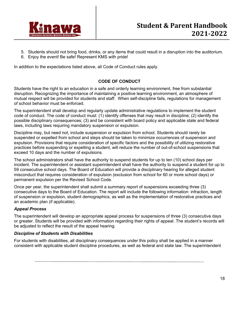

- 5. Students should not bring food, drinks, or any items that could result in a disruption into the auditorium.
- 6. Enjoy the event! Be safe! Represent KMS with pride!

In addition to the expectations listed above, all Code of Conduct rules apply.

#### **CODE OF CONDUCT**

Students have the right to an education in a safe and orderly learning environment, free from substantial disruption. Recognizing the importance of maintaining a positive learning environment, an atmosphere of mutual respect will be provided for students and staff. When self-discipline fails, regulations for management of school behavior must be enforced.

The superintendent shall develop and regularly update administrative regulations to implement the student code of conduct. The code of conduct must: (1) identify offenses that may result in discipline; (2) identify the possible disciplinary consequences; (3) and be consistent with board policy and applicable state and federal laws, including laws requiring mandatory suspension or expulsion.

Discipline may, but need not, include suspension or expulsion from school. Students should rarely be suspended or expelled from school and steps should be taken to minimize occurrences of suspension and expulsion. Provisions that require consideration of specific factors and the possibility of utilizing restorative practices before suspending or expelling a student, will reduce the number of out-of-school suspensions that exceed 10 days and the number of expulsions.

The school administrators shall have the authority to suspend students for up to ten (10) school days per incident. The superintendent or assistant superintendent shall have the authority to suspend a student for up to 59 consecutive school days. The Board of Education will provide a disciplinary hearing for alleged student misconduct that requires consideration of expulsion (exclusion from school for 60 or more school days) or permanent expulsion per the Revised School Code.

Once per year, the superintendent shall submit a summary report of suspensions exceeding three (3) consecutive days to the Board of Education. The report will include the following information: infraction, length of suspension or expulsion, student demographics, as well as the implementation of restorative practices and an academic plan (if applicable).

#### *Appeal Process*

The superintendent will develop an appropriate appeal process for suspensions of three (3) consecutive days or greater. Students will be provided with information regarding their rights of appeal. The student's records will be adjusted to reflect the result of the appeal hearing.

#### *Discipline of Students with Disabilities*

For students with disabilities, all disciplinary consequences under this policy shall be applied in a manner consistent with applicable student discipline procedures, as well as federal and state law. The superintendent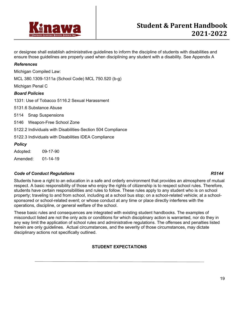

or designee shall establish administrative guidelines to inform the discipline of students with disabilities and ensure those guidelines are properly used when disciplining any student with a disability. See Appendix A

#### *References*

Michigan Compiled Law:

MCL 380.1309-1311a (School Code) MCL 750.520 (b-g)

Michigan Penal C

#### *Board Policies*

1331: Use of Tobacco 5116.2 Sexual Harassment

5131.6 Substance Abuse

5114 Snap Suspensions

5146 Weapon-Free School Zone

5122.2 Individuals with Disabilities-Section 504 Compliance

5122.3 Individuals with Disabilities IDEA Compliance

#### *Policy*

| Adopted: | 09-17-90       |  |
|----------|----------------|--|
| Amended: | $01 - 14 - 19$ |  |

#### *Code of Conduct Regulations R5144*

Students have a right to an education in a safe and orderly environment that provides an atmosphere of mutual respect. A basic responsibility of those who enjoy the rights of citizenship is to respect school rules. Therefore, students have certain responsibilities and rules to follow. These rules apply to any student who is on school property; traveling to and from school, including at a school bus stop; on a school-related vehicle; at a schoolsponsored or school-related event; or whose conduct at any time or place directly interferes with the operations, discipline, or general welfare of the school.

These basic rules and consequences are integrated with existing student handbooks. The examples of misconduct listed are not the only acts or conditions for which disciplinary action is warranted, nor do they in any way limit the application of school rules and administrative regulations. The offenses and penalties listed herein are only guidelines. Actual circumstances, and the severity of those circumstances, may dictate disciplinary actions not specifically outlined.

#### **STUDENT EXPECTATIONS**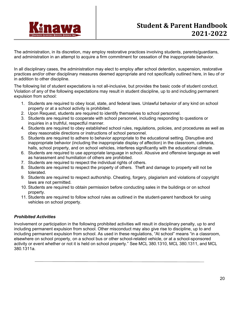

The administration, in its discretion, may employ restorative practices involving students, parents/guardians, and administration in an attempt to acquire a firm commitment for cessation of the inappropriate behavior.

In all disciplinary cases, the administration may elect to employ after school detention, suspension, restorative practices and/or other disciplinary measures deemed appropriate and not specifically outlined here, in lieu of or in addition to other discipline.

The following list of student expectations is not all-inclusive, but provides the basic code of student conduct. Violation of any of the following expectations may result in student discipline, up to and including permanent expulsion from school:

- 1. Students are required to obey local, state, and federal laws. Unlawful behavior of any kind on school property or at a school activity is prohibited.
- 2. Upon Request, students are required to identify themselves to school personnel.
- 3. Students are required to cooperate with school personnel, including responding to questions or inquiries in a truthful, respectful manner.
- 4. Students are required to obey established school rules, regulations, policies, and procedures as well as obey reasonable directions or instructions of school personnel.
- 5. Students are required to adhere to behavior appropriate to the educational setting. Disruptive and inappropriate behavior (including the inappropriate display of affection) in the classroom, cafeteria, halls, school property, and on school vehicles, interferes significantly with the educational climate.
- 6. Students are required to use appropriate language in school. Abusive and offensive language as well as harassment and humiliation of others are prohibited.
- 7. Students are required to respect the individual rights of others.
- 8. Students are required to respect the property of others. Theft and damage to property will not be tolerated.
- 9. Students are required to respect authorship. Cheating, forgery, plagiarism and violations of copyright laws are not permitted.
- 10. Students are required to obtain permission before conducting sales in the buildings or on school property.
- 11. Students are required to follow school rules as outlined in the student-parent handbook for using vehicles on school property.

#### *Prohibited Activities*

Involvement or participation in the following prohibited activities will result in disciplinary penalty, up to and including permanent expulsion from school. Other misconduct may also give rise to discipline, up to and including permanent expulsion from school. As used in these regulations, "At school" means "in a classroom, elsewhere on school property, on a school bus or other school-related vehicle, or at a school-sponsored activity or event whether or not it is held on school property." See MCL 380.1310, MCL 380.1311, and MCL 380.1311a.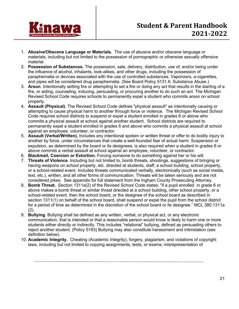

- 1. **Abusive/Obscene Language or Materials.** The use of abusive and/or obscene language or materials, including but not limited to the possession of pornographic or otherwise sexually offensive material.
- 2. **Possession of Substances.** The possession, sale, delivery, distribution, use of, and/or being under the influence of alcohol, inhalants, look-alikes, and other drugs, including the possession of paraphernalia or devices associated with the use of controlled substances. Vaporizers, e-cigarettes, and pipes will be considered drug paraphernalia. (See Board Policy 5131.6: Substance Abuse.)
- 3. **Arson**. Intentionally setting fire or attempting to set a fire or doing any act that results in the starting of a fire, or aiding, counseling, inducing, persuading, or procuring another to do such an act. The Michigan Revised School Code requires schools to permanently expel a student who commits arson on school property.
- 4. **Assault (Physical).** The Revised School Code defines "physical assault" as intentionally causing or attempting to cause physical harm to another through force or violence. The Michigan Revised School Code requires school districts to suspend or expel a student enrolled in grades 6 or above who commits a physical assault at school against another student. School districts are required to permanently expel a student enrolled in grades 6 and above who commits a physical assault at school against an employee, volunteer, or contractor.
- 5. **Assault (Verbal/Written).** Includes any intentional spoken or written threat or offer to do bodily injury to another by force, under circumstances that create a well-founded fear of actual harm. Suspension or expulsion, as determined by the board or its designees, is also required when a student in grades 6 or above commits a verbal assault at school against an employee, volunteer, or contractor.
- 6. **Blackmail, Coercion or Extortion.** Forcing someone to do something against her or his will.
- 7. **Threats of Violence**. Including but not limited to, bomb threats, shootings, suggestions of bringing or having weapons on school property, etc. directed at students, staff, a school building, school property, or a school-related event. Includes threats communicated verbally, electronically (such as social media, text, etc.), written, and all other forms of communication. Threats will be taken seriously and are not considered jokes. See appendix for full statement from the Ingham County Prosecuting Attorney.
- 8. **Bomb Threat.** Section 1311a(2) of the Revised School Code states: "if a pupil enrolled in grade 6 or above makes a bomb threat or similar threat directed at a school building, other school property, or a school-related event, then the school board, or the designee of the school board as described in section 1311(1) on behalf of the school board, shall suspend or expel the pupil from the school district for a period of time as determined in the discretion of the school board or its designee." MCL 380.1311a (2).
- 9. **Bullying**. Bullying shall be defined as any written, verbal, or physical act, or any electronic communication, that is intended or that a reasonable person would know is likely to harm one or more students either directly or indirectly. This includes "relational" bullying, defined as persuading others to reject another student. (Policy 5193) Bullying may also constitute harassment and intimidation (see definition below).
- 10. **Academic Integrity.** Cheating (Academic Integrity), forgery, plagiarism, and violations of copyright laws, including but not limited to copying assignments, tests, or exams; misrepresentation of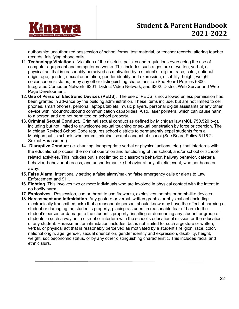

authorship; unauthorized possession of school forms, test material, or teacher records; altering teacher records; falsifying phone calls.

- 11. **Technology Violations.** Violation of the district's policies and regulations overseeing the use of computer equipment and computer networks. This includes such a gesture or written, verbal, or physical act that is reasonably perceived as motivated by a student's religion, race, color, national origin, age, gender, sexual orientation, gender identity and expression, disability, height, weight, socioeconomic status, or by any other distinguishing characteristic. (See Board Policies 6300: Integrated Computer Network; 6301: District Video Network, and 6302: District Web Server and Web Page Development.
- 12. **Use of Personal Electronic Devices (PEDS)**. The use of PEDS is not allowed unless permission has been granted in advance by the building administration. These items include, but are not limited to cell phones, smart phones, personal laptops/tablets, music players, personal digital assistants or any other device with inbound/outbound communication capabilities. Also, laser pointers, which can cause harm to a person and are not permitted on school property.
- 13. **Criminal Sexual Conduct.** Criminal sexual conduct as defined by Michigan law (MCL 750.520 b-g), including but not limited to unwelcome sexual touching or sexual penetration by force or coercion. The Michigan Revised School Code requires school districts to permanently expel students from all Michigan public schools who commit criminal sexual conduct at school (See Board Policy 5116.2: Sexual Harassment).
- 14. **Disruptive Conduct** (ie. chanting, inappropriate verbal or physical actions, etc.) that interferes with the educational process, the normal operation and functioning of the school, and/or school or schoolrelated activities. This includes but is not limited to classroom behavior, hallway behavior, cafeteria behavior, behavior at recess, and unsportsmanlike behavior at any athletic event, whether home or away.
- 15. **False Alarm**. Intentionally setting a false alarm/making false emergency calls or alerts to Law Enforcement and 911.
- 16. **Fighting**. This involves two or more individuals who are involved in physical contact with the intent to do bodily harm.
- 17. **Explosives**. Possession, use or threat to use fireworks, explosives, bombs or bomb-like devices.
- 18. **Harassment and intimidation**. Any gesture or verbal, written graphic or physical act (including electronically transmitted acts) that a reasonable person, should know may have the effect of harming a student or damaging the student's property, placing a student in reasonable fear of harm to the student's person or damage to the student's property, insulting or demeaning any student or group of students in such a way as to disrupt or interfere with the school's educational mission or the education of any student. Harassment or intimidation includes, but is not limited to, such a gesture or written, verbal, or physical act that is reasonably perceived as motivated by a student's religion, race, color, national origin, age, gender, sexual orientation, gender identity and expression, disability, height, weight, socioeconomic status, or by any other distinguishing characteristic. This includes racial and ethnic slurs.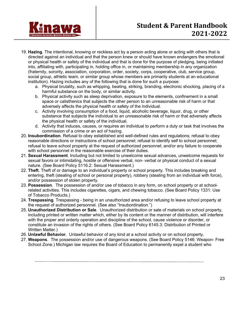

- 19. **Hazing**. The intentional, knowing or reckless act by a person acting alone or acting with others that is directed against an individual and that the person knew or should have known endangers the emotional or physical health or safety of the individual and that is done for the purpose of pledging, being initiated into, affiliating with, participating in, holding office in, or maintaining membership in any organization (fraternity, sorority, association, corporation, order, society, corps, cooperative, club, service group, social group, athletic team, or similar group whose members are primarily students at an educational institution). Hazing includes any of the following that is done for such a purpose:
	- a. Physical brutality, such as whipping, beating, striking, branding, electronic shocking, placing of a harmful substance on the body, or similar activity.
	- b. Physical activity such as sleep deprivation, exposure to the elements, confinement in a small space or calisthenics that subjects the other person to an unreasonable risk of harm or that adversely affects the physical health or safety of the individual.
	- c. Activity involving consumption of a food, liquid, alcoholic beverage, liquor, drug, or other substance that subjects the individual to an unreasonable risk of harm or that adversely affects the physical health or safety of the individual.
	- d. Activity that induces, causes, or requires an individual to perform a duty or task that involves the commission of a crime or an act of hazing.
- 20. **Insubordination**. Refusal to obey established and well-defined rules and regulations; refusal to obey reasonable directions or instructions of school personnel; refusal to identify self to school personnel; refusal to leave school property at the request of authorized personnel; and/or any failure to cooperate with school personnel in the reasonable exercise of their duties.
- 21. **Sexual Harassment**. Including but not limited to unwelcome sexual advances, unwelcome requests for sexual favors or intimidating, hostile or offensive verbal, non- verbal or physical conduct of a sexual nature. (See Board Policy 5116.2: Sexual Harassment.)
- 22. **Theft**. Theft of or damage to an individual's property or school property. This includes breaking and entering, theft (stealing of school or personal property), robbery (stealing from an individual with force), and/or possession of stolen property.
- 23. **Possession**. The possession of and/or use of tobacco in any form, on school property or at schoolrelated activities. This includes cigarettes, cigars, and chewing tobacco. (See Board Policy 1331: Use of Tobacco Products.)
- 24. **Trespassing**. Trespassing being in an unauthorized area and/or refusing to leave school property at the request of authorized personnel. (See also "Insubordination.")
- 25. **Unauthorized Distribution or Sale**. Unauthorized distribution or sale of materials on school property, including printed or written matter which, either by its content or the manner of distribution, will interfere with the proper and orderly operation and discipline of the school, cause violence or disorder, or constitute an invasion of the rights of others. (See Board Policy 6145.3: Distribution of Printed or Written Matter.)
- 26. **Unlawful Behavior**. Unlawful behavior of any kind at a school activity or on school property.
- 27. **Weapons**. The possession and/or use of dangerous weapons. (See Board Policy 5146: Weapon- Free School Zone.) Michigan law requires the Board of Education to permanently expel a student who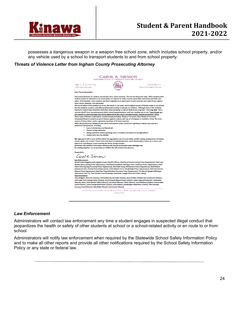

possesses a dangerous weapon in a weapon free school zone, which includes school property, and/or any vehicle used by a school to transport students to and from school property.

#### *Threats of Violence Letter from Ingham County Prosecuting Attorney*



#### *Law Enforcement*

Administrators will contact law enforcement any time a student engages in suspected illegal conduct that jeopardizes the health or safety of other students at school or a school-related activity or en route to or from school.

Administrators will notify law enforcement when required by the Statewide School Safety Information Policy and to make all other reports and provide all other notifications required by the School Safety Information Policy or any state or federal law.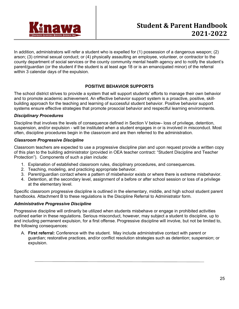

In addition, administrators will refer a student who is expelled for (1) possession of a dangerous weapon; (2) arson; (3) criminal sexual conduct; or (4) physically assaulting an employee, volunteer, or contractor to the county department of social services or the county community mental health agency and to notify the student's parent/guardian (or the student if the student is at least age 18 or is an emancipated minor) of the referral within 3 calendar days of the expulsion.

#### **POSITIVE BEHAVIOR SUPPORTS**

The school district strives to provide a system that will support students' efforts to manage their own behavior and to promote academic achievement. An effective behavior support system is a proactive, positive, skillbuilding approach for the teaching and learning of successful student behavior. Positive behavior support systems ensure effective strategies that promote prosocial behavior and respectful learning environments.

#### *Disciplinary Procedures*

Discipline that involves the levels of consequence defined in Section V below– loss of privilege, detention, suspension, and/or expulsion - will be instituted when a student engages in or is involved in misconduct. Most often, discipline procedures begin in the classroom and are then referred to the administration.

#### *Classroom Progressive Discipline*

Classroom teachers are expected to use a progressive discipline plan and upon request provide a written copy of this plan to the building administrator (provided in OEA teacher contract: "Student Discipline and Teacher Protection"). Components of such a plan include:

- 1. Explanation of established classroom rules, disciplinary procedures, and consequences.
- 2. Teaching, modeling, and practicing appropriate behavior.
- 3. Parent/guardian contact where a pattern of misbehavior exists or where there is extreme misbehavior.
- 4. Detention, at the secondary level, assignment of a before or after school session or loss of a privilege at the elementary level.

Specific classroom progressive discipline is outlined in the elementary, middle, and high school student parent handbooks. Attachment B to these regulations is the Discipline Referral to Administrator form.

#### *Administrative Progressive Discipline*

Progressive discipline will ordinarily be utilized when students misbehave or engage in prohibited activities outlined earlier in these regulations. Serious misconduct, however, may subject a student to discipline, up to and including permanent expulsion, for a first offense. Progressive discipline will involve, but not be limited to, the following consequences:

A. **First referral:** Conference with the student. May include administrative contact with parent or guardian; restorative practices, and/or conflict resolution strategies such as detention; suspension; or expulsion.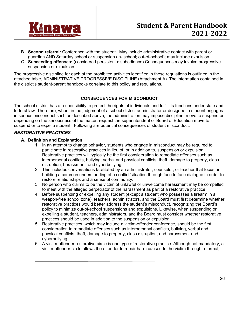

- B. **Second referral:** Conference with the student. May include administrative contact with parent or guardian AND Saturday school or suspension (in- school; out-of-school); may include expulsion.
- C. **Succeeding offenses:** (considered persistent disobedience) Consequences may involve progressive suspension or expulsion.

The progressive discipline for each of the prohibited activities identified in these regulations is outlined in the attached table, ADMINISTRATIVE PROGRESSIVE DISCIPLINE (Attachment A). The information contained in the district's student-parent handbooks correlate to this policy and regulations.

#### **CONSEQUENCES FOR MISCONDUCT**

The school district has a responsibility to protect the rights of individuals and fulfill its functions under state and federal law. Therefore, when, in the judgment of a school district administrator or designee, a student engages in serious misconduct such as described above, the administration may impose discipline, move to suspend or, depending on the seriousness of the matter, request the superintendent or Board of Education move to suspend or to expel a student. Following are potential consequences of student misconduct.

#### *RESTORATIVE PRACTICES*

#### **A. Definition and Explanation**

- 1. In an attempt to change behavior, students who engage in misconduct may be required to participate in restorative practices in lieu of, or in addition to, suspension or expulsion. Restorative practices will typically be the first consideration to remediate offenses such as interpersonal conflicts, bullying, verbal and physical conflicts, theft, damage to property, class disruption, harassment, and cyberbullying.
- 2. This includes conversations facilitated by an administrator, counselor, or teacher that focus on building a common understanding of a conflict/situation through face to face dialogue in order to restore relationships and a sense of community.
- 3. No person who claims to be the victim of unlawful or unwelcome harassment may be compelled to meet with the alleged perpetrator of the harassment as part of a restorative practice.
- 4. Before suspending or expelling any student (except a student who possesses a firearm in a weapon-free school zone), teachers, administrators, and the Board must first determine whether restorative practices would better address the student's misconduct, recognizing the Board's policy to minimize out-of-school suspensions and expulsions. Likewise, when suspending or expelling a student, teachers, administrators, and the Board must consider whether restorative practices should be used in addition to the suspension or expulsion.
- 5. Restorative practices, which may include a victim-offender conference, should be the first consideration to remediate offenses such as interpersonal conflicts, bullying, verbal and physical conflicts, theft, damage to property, class disruption, and harassment and cyberbullying.
- 6. A victim-offender restorative circle is one type of restorative practice. Although not mandatory, a victim-offender circle allows the offender to repair harm caused to the victim through a formal,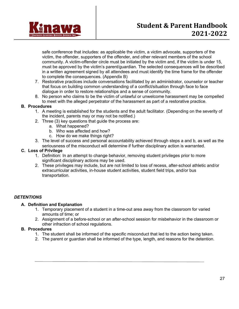

safe conference that includes: as applicable the victim, a victim advocate, supporters of the victim, the offender, supporters of the offender, and other relevant members of the school community. A victim-offender circle must be initiated by the victim and, if the victim is under 15, must be approved by the victim's parent/guardian. The selected consequences will be described in a written agreement signed by all attendees and must identify the time frame for the offender to complete the consequences. (Appendix B)

- 7. Restorative practices include conversations facilitated by an administrator, counselor or teacher that focus on building common understanding of a conflict/situation through face to face dialogue in order to restore relationships and a sense of community.
- 8. No person who claims to be the victim of unlawful or unwelcome harassment may be compelled to meet with the alleged perpetrator of the harassment as part of a restorative practice.

#### **B. Procedures**

- 1. A meeting is established for the students and the adult facilitator. (Depending on the severity of the incident, parents may or may not be notified.)
- 2. Three (3) key questions that guide the process are:
	- a. What happened?
	- b. Who was affected and how?
	- c. How do we make things right?
- 3. The level of success and personal accountability achieved through steps a and b, as well as the seriousness of the misconduct will determine if further disciplinary action is warranted.

#### **C. Loss of Privilege**

- 1. Definition: In an attempt to change behavior, removing student privileges prior to more significant disciplinary actions may be used.
- 2. These privileges may include, but are not limited to loss of recess, after-school athletic and/or extracurricular activities, in-house student activities, student field trips, and/or bus transportation.

#### *DETENTIONS*

#### **A. Definition and Explanation**

- 1. Temporary placement of a student in a time-out area away from the classroom for varied amounts of time; or
- 2. Assignment of a before-school or an after-school session for misbehavior in the classroom or other infraction of school regulations.

#### **B. Procedures**

- 1. The student shall be informed of the specific misconduct that led to the action being taken.
- 2. The parent or guardian shall be informed of the type, length, and reasons for the detention.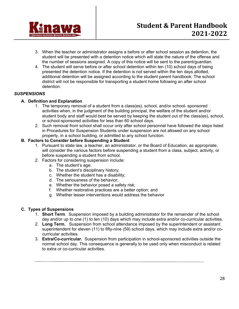

- 3. When the teacher or administrator assigns a before or after school session as detention, the student will be presented with a detention notice which will state the nature of the offense and the number of sessions assigned. A copy of this notice will be sent to the parent/guardian.
- 4. The student will serve before or after school detention within ten (10) school days of being presented the detention notice. If the detention is not served within the ten days allotted, additional detention will be assigned according to the student parent handbook. The school district will not be responsible for transporting a student home following an after school detention.

#### *SUSPENSIONS*

#### **A. Definition and Explanation**

- 1. The temporary removal of a student from a class(es), school, and/or school- sponsored activities when, in the judgment of the building principal, the welfare of the student and/or student body and staff would best be served by keeping the student out of the class(es), school, or school-sponsored activities for less than 60 school days.
- 2. Such removal from school shall occur only after school personnel have followed the steps listed in Procedures for Suspension Students under suspension are not allowed on any school property, in a school building, or admitted to any school function.

#### **B. Factors to Consider before Suspending a Student**

- 1. Pursuant to state law, a teacher, an administrator, or the Board of Education, as appropriate, will consider the various factors before suspending a student from a class, subject, activity, or before suspending a student from school.
- 2. Factors for considering suspension include:
	- a. The student's age;
	- b. The student's disciplinary history;
	- c. Whether the student has a disability;
	- d. The seriousness of the behavior;
	- e. Whether the behavior posed a safety risk;
	- f. Whether restorative practices are a better option; and
	- g. Whether lesser interventions would address the behavior

#### **C. Types of Suspensions**

- 1. **Short Term**. Suspension imposed by a building administrator for the remainder of the school day and/or up to one (1) to ten (10) days which may include extra and/or co-curricular activities.
- 2. **Long Term.** Suspension from school attendance imposed by the superintendent or assistant superintendent for eleven (11) to fifty-nine (59) school days, which may include extra and/or cocurricular activities.
- 3. **Extra/Co-curricular.** Suspension from participation in school-sponsored activities outside the normal school day. This consequence is generally to be used only when misconduct is related to extra or co-curricular activities.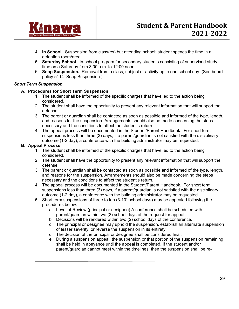

- 4. **In School.** Suspension from class(es) but attending school; student spends the time in a detention room/area.
- 5. **Saturday School**. In-school program for secondary students consisting of supervised study time on a Saturday from 8:00 a.m. to 12:00 noon.
- 6. **Snap Suspension.** Removal from a class, subject or activity up to one school day. (See board policy 5114: Snap Suspension.)

#### *Short Term Suspension*

#### **A. Procedures for Short Term Suspension**

- 1. The student shall be informed of the specific charges that have led to the action being considered.
- 2. The student shall have the opportunity to present any relevant information that will support the defense.
- 3. The parent or guardian shall be contacted as soon as possible and informed of the type, length, and reasons for the suspension. Arrangements should also be made concerning the steps necessary and the conditions to affect the student's return.
- 4. The appeal process will be documented in the Student/Parent Handbook. For short term suspensions less than three (3) days, if a parent/guardian is not satisfied with the disciplinary outcome (1-2 day), a conference with the building administrator may be requested.

#### **B. Appeal Process**

- 1. The student shall be informed of the specific charges that have led to the action being considered.
- 2. The student shall have the opportunity to present any relevant information that will support the defense.
- 3. The parent or guardian shall be contacted as soon as possible and informed of the type, length, and reasons for the suspension. Arrangements should also be made concerning the steps necessary and the conditions to affect the student's return.
- 4. The appeal process will be documented in the Student/Parent Handbook. For short term suspensions less than three (3) days, if a parent/guardian is not satisfied with the disciplinary outcome (1-2 day), a conference with the building administrator may be requested.
- 5. Short term suspensions of three to ten (3-10) school days) may be appealed following the procedures below:
	- a. Level of Review (principal or designee) A conference shall be scheduled with parent/guardian within two (2) school days of the request for appeal.
	- b. Decisions will be rendered within two (2) school days of the conference.
	- c. The principal or designee may uphold the suspension, establish an alternate suspension of lesser severity, or reverse the suspension in its entirety.
	- d. The decision of the principal or designee shall be considered final.
	- e. During a suspension appeal, the suspension or that portion of the suspension remaining shall be held in abeyance until the appeal is completed. If the student and/or parent/guardian cannot meet within the timelines, then the suspension shall be re-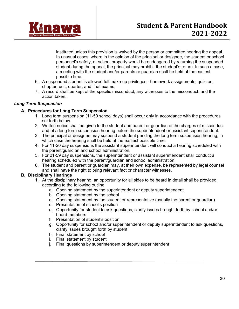

instituted unless this provision is waived by the person or committee hearing the appeal. In unusual cases, where in the opinion of the principal or designee, the student or school personnel's safety, or school property would be endangered by returning the suspended student during the appeal, the principal may prohibit the student's return. In such a case, a meeting with the student and/or parents or guardian shall be held at the earliest possible time.

- 6. A suspended student is allowed full make-up privileges homework assignments, quizzes, chapter, unit, quarter, and final exams.
- 7. A record shall be kept of the specific misconduct, any witnesses to the misconduct, and the action taken.

#### *Long Term Suspension*

#### **A. Procedures for Long Term Suspension**

- 1. Long term suspension (11-59 school days) shall occur only in accordance with the procedures set forth below.
- 2. Written notice shall be given to the student and parent or guardian of the charges of misconduct and of a long term suspension hearing before the superintendent or assistant superintendent.
- 3. The principal or designee may suspend a student pending the long term suspension hearing, in which case the hearing shall be held at the earliest possible time.
- 4. For 11-20 day suspensions the assistant superintendent will conduct a hearing scheduled with the parent/guardian and school administration.
- 5. For 21-59 day suspensions, the superintendent or assistant superintendent shall conduct a hearing scheduled with the parent/guardian and school administration.
- 6. The student and parent or guardian may, at their own expense, be represented by legal counsel and shall have the right to bring relevant fact or character witnesses.

#### **B. Disciplinary Hearings**

- 1. At the disciplinary hearing, an opportunity for all sides to be heard in detail shall be provided according to the following outline:
	- a. Opening statement by the superintendent or deputy superintendent
	- b. Opening statement by the school
	- c. Opening statement by the student or representative (usually the parent or guardian)
	- d. Presentation of school's position
	- e. Opportunity for student to ask questions, clarify issues brought forth by school and/or board members
	- f. Presentation of student's position
	- g. Opportunity for school and/or superintendent or deputy superintendent to ask questions, clarify issues brought forth by student
	- h. Final statement by school
	- i. Final statement by student
	- j. Final questions by superintendent or deputy superintendent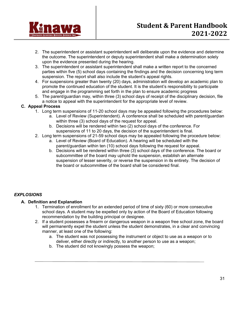

- 2. The superintendent or assistant superintendent will deliberate upon the evidence and determine the outcome. The superintendent or deputy superintendent shall make a determination solely upon the evidence presented during the hearing.
- 3. The superintendent or assistant superintendent shall make a written report to the concerned parties within five (5) school days containing the findings and the decision concerning long term suspension. The report shall also include the student's appeal rights.
- 4. For suspensions greater than twenty (20) days, administration will develop an academic plan to promote the continued education of the student. It is the student's responsibility to participate and engage in the programming set forth in the plan to ensure academic progress
- 5. The parent/guardian may, within three (3) school days of receipt of the disciplinary decision, file a notice to appeal with the superintendent for the appropriate level of review.

#### **C. Appeal Process**

- 1. Long term suspensions of 11-20 school days may be appealed following the procedures below:
	- a. Level of Review (Superintendent). A conference shall be scheduled with parent/guardian within three (3) school days of the request for appeal.
	- b. Decisions will be rendered within two (2) school days of the conference. For suspensions of 11 to 20 days, the decision of the superintendent is final.
- 2. Long term suspensions of 21-59 school days may be appealed following the procedure below:
	- a. Level of Review (Board of Education). A hearing will be scheduled with the parent/guardian within ten (10) school days following the request for appeal.
	- b. Decisions will be rendered within three (3) school days of the conference. The board or subcommittee of the board may uphold the suspension, establish an alternate suspension of lesser severity, or reverse the suspension in its entirety. The decision of the board or subcommittee of the board shall be considered final.

### *EXPLOSIONS*

#### **A. Definition and Explanation**

- 1. Termination of enrollment for an extended period of time of sixty (60) or more consecutive school days. A student may be expelled only by action of the Board of Education following recommendation by the building principal or designee.
- 2. If a student possesses a firearm or dangerous weapon in a weapon free school zone, the board will permanently expel the student unless the student demonstrates, in a clear and convincing manner, at least one of the following:
	- a. The student was not possessing the instrument or object to use as a weapon or to deliver, either directly or indirectly, to another person to use as a weapon;
	- b. The student did not knowingly possess the weapon;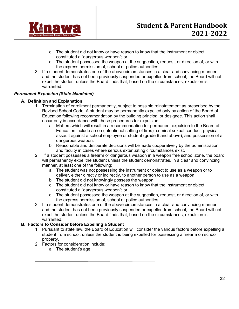

- c. The student did not know or have reason to know that the instrument or object constituted a "dangerous weapon"; or
- d. The student possessed the weapon at the suggestion, request, or direction of, or with the express permission of, school or police authorities.
- 3. If a student demonstrates one of the above circumstances in a clear and convincing manner and the student has not been previously suspended or expelled from school, the Board will not expel the student unless the Board finds that, based on the circumstances, expulsion is warranted.

#### *Permanent Expulsion (State Mandated)*

#### **A. Definition and Explanation**

- 1. Termination of enrollment permanently, subject to possible reinstatement as prescribed by the Revised School Code. A student may be permanently expelled only by action of the Board of Education following recommendation by the building principal or designee. This action shall occur only in accordance with these procedures for expulsion:
	- a. Matters which will result in a recommendation for permanent expulsion to the Board of Education include arson (intentional setting of fires), criminal sexual conduct, physical assault against a school employee or student (grade 6 and above), and possession of a dangerous weapon.
	- b. Reasonable and deliberate decisions will be made cooperatively by the administration and faculty in cases where serious extenuating circumstances exist.
- 2. If a student possesses a firearm or dangerous weapon in a weapon free school zone, the board will permanently expel the student unless the student demonstrates, in a clear and convincing manner, at least one of the following:
	- a. The student was not possessing the instrument or object to use as a weapon or to deliver, either directly or indirectly, to another person to use as a weapon;
	- b. The student did not knowingly possess the weapon;
	- c. The student did not know or have reason to know that the instrument or object constituted a "dangerous weapon"; or
	- d. The student possessed the weapon at the suggestion, request, or direction of, or with the express permission of, school or police authorities.
- 3. If a student demonstrates one of the above circumstances in a clear and convincing manner and the student has not been previously suspended or expelled from school, the Board will not expel the student unless the Board finds that, based on the circumstances, expulsion is warranted.

#### **B. Factors to Consider before Expelling a Student**

- 1. Pursuant to state law, the Board of Education will consider the various factors before expelling a student from school, unless the student is being expelled for possessing a firearm on school property.
- 2. Factors for consideration include:
	- a. The student's age;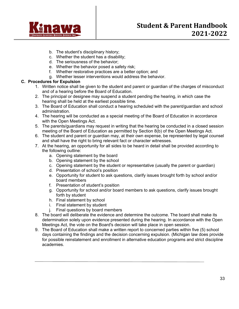

- b. The student's disciplinary history;
- c. Whether the student has a disability;
- d. The seriousness of the behavior;
- e. Whether the behavior posed a safety risk;
- f. Whether restorative practices are a better option; and
- g. Whether lesser interventions would address the behavior.

#### **C. Procedures for Expulsion**

- 1. Written notice shall be given to the student and parent or guardian of the charges of misconduct and of a hearing before the Board of Education.
- 2. The principal or designee may suspend a student pending the hearing, in which case the hearing shall be held at the earliest possible time.
- 3. The Board of Education shall conduct a hearing scheduled with the parent/guardian and school administration.
- 4. The hearing will be conducted as a special meeting of the Board of Education in accordance with the Open Meetings Act.
- 5. The parents/guardians may request in writing that the hearing be conducted in a closed session meeting of the Board of Education as permitted by Section 8(b) of the Open Meetings Act.
- 6. The student and parent or guardian may, at their own expense, be represented by legal counsel and shall have the right to bring relevant fact or character witnesses.
- 7. At the hearing, an opportunity for all sides to be heard in detail shall be provided according to the following outline:
	- a. Opening statement by the board
	- b. Opening statement by the school
	- c. Opening statement by the student or representative (usually the parent or guardian)
	- d. Presentation of school's position
	- e. Opportunity for student to ask questions, clarify issues brought forth by school and/or board members
	- f. Presentation of student's position
	- g. Opportunity for school and/or board members to ask questions, clarify issues brought forth by student
	- h. Final statement by school
	- i. Final statement by student
	- j. Final questions by board members
- 8. The board will deliberate the evidence and determine the outcome. The board shall make its determination solely upon evidence presented during the hearing. In accordance with the Open Meetings Act, the vote on the Board's decision will take place in open session.
- 9. The Board of Education shall make a written report to concerned parties within five (5) school days containing the findings and the decision concerning expulsion. (Michigan law does provide for possible reinstatement and enrollment in alternative education programs and strict discipline academies.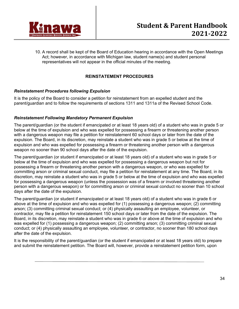

10. A record shall be kept of the Board of Education hearing in accordance with the Open Meetings Act; however, in accordance with Michigan law, student name(s) and student personal representatives will not appear in the official minutes of the meeting.

#### **REINSTATEMENT PROCEDURES**

#### *Reinstatement Procedures following Expulsion*

It is the policy of the Board to consider a petition for reinstatement from an expelled student and the parent/guardian and to follow the requirements of sections 1311 and 1311a of the Revised School Code.

#### *Reinstatement Following Mandatory Permanent Expulsion*

The parent/guardian (or the student if emancipated or at least 18 years old) of a student who was in grade 5 or below at the time of expulsion and who was expelled for possessing a firearm or threatening another person with a dangerous weapon may file a petition for reinstatement 60 school days or later from the date of the expulsion. The Board, in its discretion, may reinstate a student who was in grade 5 or below at the time of expulsion and who was expelled for possessing a firearm or threatening another person with a dangerous weapon no sooner than 90 school days after the date of the expulsion.

The parent/guardian (or student if emancipated or at least 18 years old) of a student who was in grade 5 or below at the time of expulsion and who was expelled for possessing a dangerous weapon but not for possessing a firearm or threatening another person with a dangerous weapon, or who was expelled for committing arson or criminal sexual conduct, may file a petition for reinstatement at any time. The Board, in its discretion, may reinstate a student who was in grade 5 or below at the time of expulsion and who was expelled for possessing a dangerous weapon (unless the possession was of a firearm or involved threatening another person with a dangerous weapon) or for committing arson or criminal sexual conduct no sooner than 10 school days after the date of the expulsion.

The parent/guardian (or student if emancipated or at least 18 years old) of a student who was in grade 6 or above at the time of expulsion and who was expelled for (1) possessing a dangerous weapon; (2) committing arson; (3) committing criminal sexual conduct; or (4) physically assaulting an employee, volunteer, or contractor, may file a petition for reinstatement 150 school days or later from the date of the expulsion. The Board, in its discretion, may reinstate a student who was in grade 6 or above at the time of expulsion and who was expelled for (1) possessing a dangerous weapon; (2) committing arson; (3) committing criminal sexual conduct; or (4) physically assaulting an employee, volunteer, or contractor, no sooner than 180 school days after the date of the expulsion.

It is the responsibility of the parent/guardian (or the student if emancipated or at least 18 years old) to prepare and submit the reinstatement petition. The Board will, however, provide a reinstatement petition form, upon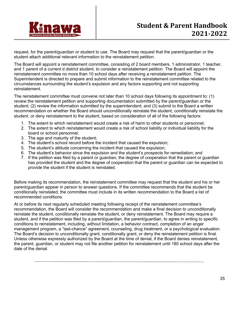

request, for the parent/guardian or student to use. The Board may request that the parent/guardian or the student attach additional relevant information to the reinstatement petition.

The Board will appoint a reinstatement committee, consisting of 2 board members, 1 administrator, 1 teacher, and 1 parent of a current d district student, to consider a reinstatement petition. The Board will appoint the reinstatement committee no more than 10 school days after receiving a reinstatement petition. The Superintendent is directed to prepare and submit information to the reinstatement committee related to the circumstances surrounding the student's expulsion and any factors supporting and not supporting reinstatement.

The reinstatement committee must convene not later than 10 school days following its appointment to: (1) review the reinstatement petition and supporting documentation submitted by the parent/guardian or the student; (2) review the information submitted by the superintendent; and (3) submit to the Board a written recommendation on whether the Board should unconditionally reinstate the student, conditionally reinstate the student, or deny reinstatement to the student, based on consideration of all of the following factors:

- 1. The extent to which reinstatement would create a risk of harm to other students or personnel;
- 2. The extent to which reinstatement would create a risk of school liability or individual liability for the board or school personnel;
- 3. The age and maturity of the student;
- 4. The student's school record before the incident that caused the expulsion;
- 5. The student's attitude concerning the incident that caused the expulsion;
- 6. The student's behavior since the expulsion and the student's prospects for remediation; and
- 7. If the petition was filed by a parent or guardian, the degree of cooperation that the parent or guardian has provided the student and the degree of cooperation that the parent or guardian can be expected to provide the student if the student is reinstated.

Before making its recommendation, the reinstatement committee may request that the student and his or her parent/guardian appear in person to answer questions. If the committee recommends that the student be conditionally reinstated, the committee must include in its written recommendation to the Board a list of recommended conditions.

At or before its next regularly scheduled meeting following receipt of the reinstatement committee's recommendation, the Board will consider the recommendation and make a final decision to unconditionally reinstate the student, conditionally reinstate the student, or deny reinstatement. The Board may require a student, and if the petition was filed by a parent/guardian, the parent/guardian, to agree in writing to specific conditions to reinstatement, including, without limitation, a behavior contract, completion of an anger management program, a "last-chance" agreement, counseling, drug treatment, or a psychological evaluation. The Board's decision to unconditionally grant, conditionally grant, or deny the reinstatement petition is final. Unless otherwise expressly authorized by the Board at the time of denial, if the Board denies reinstatement, the parent, guardian, or student may not file another petition for reinstatement until 180 school days after the date of the denial.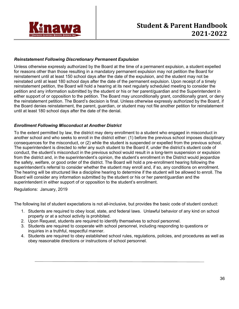

#### *Reinstatement Following Discretionary Permanent Expulsion*

Unless otherwise expressly authorized by the Board at the time of a permanent expulsion, a student expelled for reasons other than those resulting in a mandatory permanent expulsion may not petition the Board for reinstatement until at least 150 school days after the date of the expulsion, and the student may not be reinstated until at least 180 school days after the date of the permanent expulsion. Upon receipt of a timely reinstatement petition, the Board will hold a hearing at its next regularly scheduled meeting to consider the petition and any information submitted by the student or his or her parent/guardian and the Superintendent in either support of or opposition to the petition. The Board may unconditionally grant, conditionally grant, or deny the reinstatement petition. The Board's decision is final. Unless otherwise expressly authorized by the Board, if the Board denies reinstatement, the parent, guardian, or student may not file another petition for reinstatement until at least 180 school days after the date of the denial.

#### *Enrollment Following Misconduct at Another District*

To the extent permitted by law, the district may deny enrollment to a student who engaged in misconduct in another school and who seeks to enroll in the district either: (1) before the previous school imposes disciplinary consequences for the misconduct, or (2) while the student is suspended or expelled from the previous school. The superintendent is directed to refer any such student to the Board if, under the district's student code of conduct, the student's misconduct in the previous school would result in a long-term suspension or expulsion from the district and, in the superintendent's opinion, the student's enrollment in the District would jeopardize the safety, welfare, or good order of the district. The Board will hold a pre-enrollment hearing following the superintendent's referral to consider whether the student may enroll and, if so, any conditions on enrollment. The hearing will be structured like a discipline hearing to determine if the student will be allowed to enroll. The Board will consider any information submitted by the student or his or her parent/guardian and the superintendent in either support of or opposition to the student's enrollment.

Regulations: January, 2019

The following list of student expectations is not all-inclusive, but provides the basic code of student conduct:

- 1. Students are required to obey local, state, and federal laws. Unlawful behavior of any kind on school property or at a school activity is prohibited.
- 2. Upon Request, students are required to identify themselves to school personnel.
- 3. Students are required to cooperate with school personnel, including responding to questions or inquiries in a truthful, respectful manner.
- 4. Students are required to obey established school rules, regulations, policies, and procedures as well as obey reasonable directions or instructions of school personnel.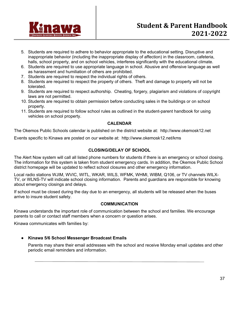

- 5. Students are required to adhere to behavior appropriate to the educational setting. Disruptive and inappropriate behavior (including the inappropriate display of affection) in the classroom, cafeteria, halls, school property, and on school vehicles, interferes significantly with the educational climate.
- 6. Students are required to use appropriate language in school. Abusive and offensive language as well as harassment and humiliation of others are prohibited.
- 7. Students are required to respect the individual rights of others.
- 8. Students are required to respect the property of others. Theft and damage to property will not be tolerated.
- 9. Students are required to respect authorship. Cheating, forgery, plagiarism and violations of copyright laws are not permitted.
- 10. Students are required to obtain permission before conducting sales in the buildings or on school property.
- 11. Students are required to follow school rules as outlined in the student-parent handbook for using vehicles on school property.

#### **CALENDAR**

The Okemos Public Schools calendar is published on the district website at: http://www.okemosk12.net

Events specific to Kinawa are posted on our website at: http://www.okemosk12.net/kms

#### **CLOSING/DELAY OF SCHOOL**

The Alert Now system will call all listed phone numbers for students if there is an emergency or school closing. The information for this system is taken from student emergency cards. In addition, the Okemos Public School district homepage will be updated to reflect school closures and other emergency information.

Local radio stations WJIM, WVIC, WITL, WKAR, WILS, WFMK, WHMI, WIBM, Q106, or TV channels WILX-TV, or WLNS-TV will indicate school closing information. Parents and guardians are responsible for knowing about emergency closings and delays.

If school must be closed during the day due to an emergency, all students will be released when the buses arrive to insure student safety.

#### **COMMUNICATION**

Kinawa understands the important role of communication between the school and families. We encourage parents to call or contact staff members when a concern or question arises.

Kinawa communicates with families by:

#### ● **Kinawa 5/6 School Messenger Broadcast Emails**

Parents may share their email addresses with the school and receive Monday email updates and other periodic email reminders and information.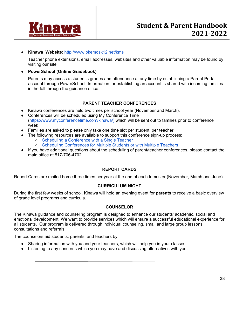

#### ● **Kinawa Website**: http://www.okemosk12.net/kms

Teacher phone extensions, email addresses, websites and other valuable information may be found by visiting our site.

#### ● **PowerSchool (Online Gradebook)**

Parents may access a student's grades and attendance at any time by establishing a Parent Portal account through PowerSchool. Information for establishing an account is shared with incoming families in the fall through the guidance office.

#### **PARENT TEACHER CONFERENCES**

- Kinawa conferences are held two times per school year (November and March).
- Conferences will be scheduled using My Conference Time (https://www.myconferencetime.com/kinawa/) which will be sent out to families prior to conference week
- Families are asked to please only take one time slot per student, per teacher
- The following resources are available to support this conference sign-up process:
	- Scheduling a Conference with a Single Teacher
	- Scheduling Conferences for Multiple Students or with Multiple Teachers
- If you have additional questions about the scheduling of parent/teacher conferences, please contact the main office at 517-706-4702.

#### **REPORT CARDS**

Report Cards are mailed home three times per year at the end of each trimester (November, March and June).

#### **CURRICULUM NIGHT**

During the first few weeks of school, Kinawa will hold an evening event for **parents** to receive a basic overview of grade level programs and curricula.

#### **COUNSELOR**

The Kinawa guidance and counseling program is designed to enhance our students' academic, social and emotional development. We want to provide services which will ensure a successful educational experience for all students. Our program is delivered through individual counseling, small and large group lessons, consultations and referrals.

The counselors aid students, parents, and teachers by:

- Sharing information with you and your teachers, which will help you in your classes.
- Listening to any concerns which you may have and discussing alternatives with you.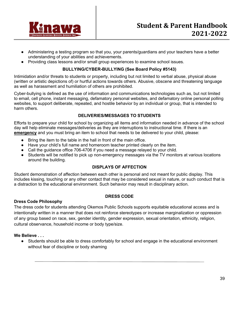

- Administering a testing program so that you, your parents/guardians and your teachers have a better understanding of your abilities and achievements.
- Providing class lessons and/or small group experiences to examine school issues.

#### **BULLYING/CYBER-BULLYING (See Board Policy #5143)**

Intimidation and/or threats to students or property, including but not limited to verbal abuse, physical abuse (written or artistic depictions of) or hurtful actions towards others. Abusive, obscene and threatening language as well as harassment and humiliation of others are prohibited.

Cyber-bullying is defined as the use of information and communications technologies such as, but not limited to email, cell phone, instant messaging, defamatory personal websites, and defamatory online personal polling websites, to support deliberate, repeated, and hostile behavior by an individual or group, that is intended to harm others.

#### **DELIVERIES/MESSAGES TO STUDENTS**

Efforts to prepare your child for school by organizing all items and information needed in advance of the school day will help eliminate messages/deliveries as they are interruptions to instructional time. If there is an **emergency** and you must bring an item to school that needs to be delivered to your child, please:

- Bring the item to the table in the hall in front of the main office.
- Have your child's full name and homeroom teacher printed clearly on the item.
- Call the guidance office 706-4706 if you need a message relayed to your child.
- Students will be notified to pick up non-emergency messages via the TV monitors at various locations around the building.

#### **DISPLAYS OF AFFECTION**

Student demonstration of affection between each other is personal and not meant for public display. This includes kissing, touching or any other contact that may be considered sexual in nature, or such conduct that is a distraction to the educational environment. Such behavior may result in disciplinary action.

#### **DRESS CODE**

#### **Dress Code Philosophy**

The dress code for students attending Okemos Public Schools supports equitable educational access and is intentionally written in a manner that does not reinforce stereotypes or increase marginalization or oppression of any group based on race, sex, gender identity, gender expression, sexual orientation, ethnicity, religion, cultural observance, household income or body type/size.

#### **We Believe . . .**

Students should be able to dress comfortably for school and engage in the educational environment without fear of discipline or body shaming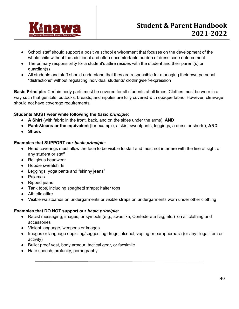

- School staff should support a positive school environment that focuses on the development of the whole child without the additional and often uncomfortable burden of dress code enforcement
- The primary responsibility for a student's attire resides with the student and their parent(s) or guardian(s)
- All students and staff should understand that they are responsible for managing their own personal "distractions" without regulating individual students' clothing/self-expression

**Basic Principle:** Certain body parts must be covered for all students at all times. Clothes must be worn in a way such that genitals, buttocks, breasts, and nipples are fully covered with opaque fabric. However, cleavage should not have coverage requirements.

#### **Students MUST wear while following the** *basic principle***:**

- **A Shirt** (with fabric in the front, back, and on the sides under the arms), **AND**
- **Pants/Jeans or the equivalent** (for example, a skirt, sweatpants, leggings, a dress or shorts), **AND**
- **Shoes**

#### **Examples that SUPPORT our** *basic principle***:**

- Head coverings must allow the face to be visible to staff and must not interfere with the line of sight of any student or staff
- Religious headwear
- Hoodie sweatshirts
- Leggings, yoga pants and "skinny jeans"
- Pajamas
- Ripped jeans
- Tank tops, including spaghetti straps; halter tops
- Athletic attire
- Visible waistbands on undergarments or visible straps on undergarments worn under other clothing

#### **Examples that DO NOT support our** *basic principle***:**

- Racist messaging, images, or symbols (e.g., swastika, Confederate flag, etc.) on all clothing and accessories
- Violent language, weapons or images
- Images or language depicting/suggesting drugs, alcohol, vaping or paraphernalia (or any illegal item or activity)
- Bullet proof vest, body armour, tactical gear, or facsimile
- Hate speech, profanity, pornography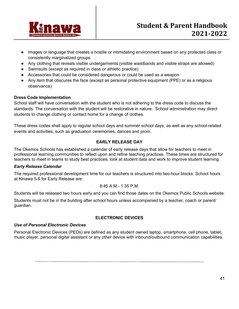

- Images or language that creates a hostile or intimidating environment based on any protected class or consistently marginalized groups
- Any clothing that reveals visible undergarments (visible waistbands and visible straps are allowed)
- Swimsuits (except as required in class or athletic practice)
- Accessories that could be considered dangerous or could be used as a weapon
- Any item that obscures the face (except as personal protective equipment (PPE) or as a religious observance)

#### **Dress Code Implementation**

School staff will have conversation with the student who is not adhering to the dress code to discuss the standards. The conversation with the student will be restorative in nature. School administration may direct students to change clothing or contact home for a change of clothes.

These dress codes shall apply to regular school days and summer school days, as well as any school-related events and activities, such as graduation ceremonies, dances and prom.

#### **EARLY RELEASE DAY**

The Okemos Schools has established a calendar of early release days that allow for teachers to meet in professional learning communities to reflect upon and refine teaching practices. These times are structured for teachers to meet in teams to study best practices, look at student data and work to improve student learning.

#### *Early Release Calendar*

The required professional development time for our teachers is structured into two-hour blocks. School hours at Kinawa 5-6 for Early Release are:

#### 8:45 A.M.- 1:35 P.M.

Students will be released two hours early and you can find those dates on the Okemos Public Schools website.

Students must not be in the building after school hours unless accompanied by a teacher, coach or parent/ guardian.

### **ELECTRONIC DEVICES**

#### *Use of Personal Electronic Devices*

Personal Electronic Devices (PEDs) are defined as any student owned laptop, smartphone, cell phone, tablet, music player, personal digital assistant or any other device with inbound/outbound communication capabilities.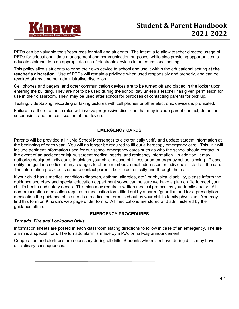

PEDs can be valuable tools/resources for staff and students. The intent is to allow teacher directed usage of PEDs for educational, time management and communication purposes, while also providing opportunities to educate stakeholders on appropriate use of electronic devices in an educational setting.

This policy allows students to bring their own device to school and use it within the educational setting **at the teacher's discretion.** Use of PEDs will remain a privilege when used responsibly and properly, and can be revoked at any time per administrative discretion.

Cell phones and pagers, and other communication devices are to be turned off and placed in the locker upon entering the building. They are not to be used during the school day unless a teacher has given permission for use in their classroom. They may be used after school for purposes of contacting parents for pick up.

Texting, videotaping, recording or taking pictures with cell phones or other electronic devices is prohibited.

Failure to adhere to these rules will involve progressive discipline that may include parent contact, detention, suspension, and the confiscation of the device.

#### **EMERGENCY CARDS**

Parents will be provided a link via School Messenger to electronically verify and update student information at the beginning of each year. You will no longer be required to fill out a hardcopy emergency card. This link will include pertinent information used for our school emergency cards such as who the school should contact in the event of an accident or injury, student medical needs, and residency information. In addition, it may authorize designed individuals to pick up your child in case of illness or an emergency school closing. Please notify the guidance office of any changes to phone numbers, email addresses or individuals listed on the card. The information provided is used to contact parents both electronically and through the mail.

If your child has a medical condition (diabetes, asthma, allergies, etc.) or physical disability, please inform the guidance secretary and special education department so we can be sure we have a plan on file to meet your child's health and safety needs. This plan may require a written medical protocol by your family doctor. All non-prescription medication requires a medication form filled out by a parent/guardian and for a prescription medication the guidance office needs a medication form filled out by your child's family physician. You may find this form on Kinawa's web page under forms. All medications are stored and administered by the guidance office.

#### **EMERGENCY PROCEDURES**

#### *Tornado, Fire and Lockdown Drills*

Information sheets are posted in each classroom stating directions to follow in case of an emergency. The fire alarm is a special horn. The tornado alarm is made by a P.A. or hallway announcement.

Cooperation and alertness are necessary during all drills. Students who misbehave during drills may have disciplinary consequences.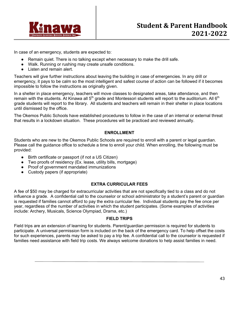

In case of an emergency, students are expected to:

- Remain quiet. There is no talking except when necessary to make the drill safe.
- Walk. Running or rushing may create unsafe conditions.
- Listen and remain alert.

Teachers will give further instructions about leaving the building in case of emergencies. In any drill or emergency, it pays to be calm so the most intelligent and safest course of action can be followed if it becomes impossible to follow the instructions as originally given.

In a shelter in place emergency, teachers will move classes to designated areas, take attendance, and then remain with the students. At Kinawa all  $5<sup>th</sup>$  grade and Montessori students will report to the auditorium. All  $6<sup>th</sup>$ grade students will report to the library. All students and teachers will remain in their shelter in place locations until dismissed by the office.

The Okemos Public Schools have established procedures to follow in the case of an internal or external threat that results in a lockdown situation. These procedures will be practiced and reviewed annually.

#### **ENROLLMENT**

Students who are new to the Okemos Public Schools are required to enroll with a parent or legal guardian. Please call the guidance office to schedule a time to enroll your child. When enrolling, the following must be provided:

- Birth certificate or passport (if not a US Citizen)
- Two proofs of residency (Ex. lease, utility bills, mortgage)
- Proof of government mandated immunizations
- Custody papers (if appropriate)

#### **EXTRA CURRICULAR FEES**

A fee of \$50 may be charged for extracurricular activities that are not specifically tied to a class and do not influence a grade. A confidential call to the counselor or school administrator by a student's parent or guardian is requested if families cannot afford to pay the extra curricular fee. Individual students pay the fee once per year, regardless of the number of activities in which the student participates. (Some examples of activities include: Archery, Musicals, Science Olympiad, Drama, etc.)

#### **FIELD TRIPS**

Field trips are an extension of learning for students. Parent/guardian permission is required for students to participate. A universal permission form is included on the back of the emergency card. To help offset the costs for such experiences, parents may be asked to pay a trip fee. A confidential call to the counselor is requested if families need assistance with field trip costs. We always welcome donations to help assist families in need.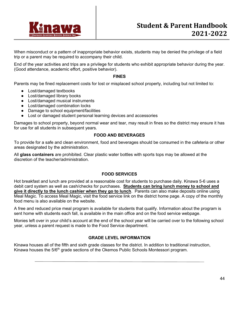

When misconduct or a pattern of inappropriate behavior exists, students may be denied the privilege of a field trip or a parent may be required to accompany their child.

End of the year activities and trips are a privilege for students who exhibit appropriate behavior during the year. (Good attendance, academic effort, positive behavior).

#### **FINES**

Parents may be fined replacement costs for lost or misplaced school property, including but not limited to:

- Lost/damaged textbooks
- Lost/damaged library books
- Lost/damaged musical instruments
- Lost/damaged combination locks
- Damage to school equipment/facilities
- Lost or damaged student personal learning devices and accessories

Damages to school property, beyond normal wear and tear, may result in fines so the district may ensure it has for use for all students in subsequent years.

#### **FOOD AND BEVERAGES**

To provide for a safe and clean environment, food and beverages should be consumed in the cafeteria or other areas designated by the administration.

All **glass containers** are prohibited. Clear plastic water bottles with sports tops may be allowed at the discretion of the teacher/administration.

#### **FOOD SERVICES**

Hot breakfast and lunch are provided at a reasonable cost for students to purchase daily. Kinawa 5-6 uses a debit card system as well as cash/checks for purchases. **Students can bring lunch money to school and give it directly to the lunch cashier when they go to lunch**. Parents can also make deposits online using Meal Magic. To access Meal Magic, visit the food service link on the district home page. A copy of the monthly food menu is also available on the website.

A free and reduced price meal program is available for students that qualify. Information about the program is sent home with students each fall, is available in the main office and on the food service webpage.

Monies left over in your child's account at the end of the school year will be carried over to the following school year, unless a parent request is made to the Food Service department.

#### **GRADE LEVEL INFORMATION**

Kinawa houses all of the fifth and sixth grade classes for the district. In addition to traditional instruction, Kinawa houses the  $5/6<sup>th</sup>$  grade sections of the Okemos Public Schools Montessori program.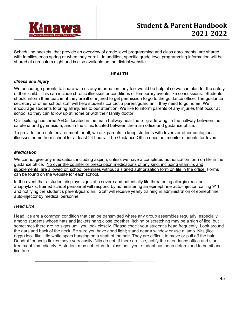

Scheduling packets, that provide an overview of grade level programming and class enrollments, are shared with families each spring or when they enroll. In addition, specific grade level programming information will be shared at curriculum night and is also available on the district website.

#### **HEALTH**

#### *Illness and Injury*

We encourage parents to share with us any information they feel would be helpful so we can plan for the safety of their child. This can include chronic illnesses or conditions or temporary events like concussions. Students should inform their teacher if they are ill or injured to get permission to go to the guidance office. The guidance secretary or other school staff will help students contact a parent/guardian if they need to go home. We encourage students to bring all injuries to our attention. We like to inform parents of any injuries that occur at school so they can follow up at home or with their family doctor.

Our building has three AEDs, located in the main hallway near the  $5<sup>th</sup>$  grade wing, in the hallway between the cafeteria and gymnasium, and in the clinic located between the main office and guidance office.

To provide for a safe environment for all, we ask parents to keep students with fevers or other contagious illnesses home from school for at least 24 hours. The Guidance Office does not monitor students for fevers.

#### *Medication*

We cannot give any medication, including aspirin, unless we have a completed authorization form on file in the guidance office. No over the counter or prescription medications of any kind, including vitamins and supplements, are allowed on school premises without a signed authorization form on file in the office. Forms can be found on the website for each school.

In the event that a student displays signs of a severe and potentially life threatening allergic reaction, anaphylaxis, trained school personnel will respond by administering an epinephrine auto-injector, calling 911, and notifying the student's parent/guardian. Staff will receive yearly training in administration of epinephrine auto-injector by medical personnel.

#### *Head Lice*

Head lice are a common condition that can be transmitted where any group assembles regularly, especially among students whose hats and jackets hang close together. Itching or scratching may be a sign of lice, but sometimes there are no signs until you look closely. Please check your student's head frequently. Look around the ears and back of the neck. Be sure you have good light; stand near a window or use a lamp. Nits (lice eggs) look like little white spots hanging on a shaft of the hair. They are difficult to move or pull off the hair. Dandruff or scalp flakes move very easily. Nits do not. If there are lice, notify the attendance office and start treatment immediately. A student may not return to class until your student has been determined to be nit and lice free.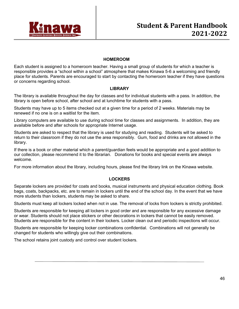

#### **HOMEROOM**

Each student is assigned to a homeroom teacher. Having a small group of students for which a teacher is responsible provides a "school within a school" atmosphere that makes Kinawa 5-6 a welcoming and friendly place for students. Parents are encouraged to start by contacting the homeroom teacher if they have questions or concerns regarding school.

#### **LIBRARY**

The library is available throughout the day for classes and for individual students with a pass. In addition, the library is open before school, after school and at lunchtime for students with a pass.

Students may have up to 5 items checked out at a given time for a period of 2 weeks. Materials may be renewed if no one is on a waitlist for the item.

Library computers are available to use during school time for classes and assignments. In addition, they are available before and after schools for appropriate Internet usage.

Students are asked to respect that the library is used for studying and reading. Students will be asked to return to their classroom if they do not use the area responsibly. Gum, food and drinks are not allowed in the library.

If there is a book or other material which a parent/guardian feels would be appropriate and a good addition to our collection, please recommend it to the librarian. Donations for books and special events are always welcome.

For more information about the library, including hours, please find the library link on the Kinawa website.

#### **LOCKERS**

Separate lockers are provided for coats and books, musical instruments and physical education clothing. Book bags, coats, backpacks, etc. are to remain in lockers until the end of the school day. In the event that we have more students than lockers, students may be asked to share.

Students must keep all lockers locked when not in use. The removal of locks from lockers is strictly prohibited.

Students are responsible for keeping all lockers in good order and are responsible for any excessive damage or wear. Students should not place stickers or other decorations in lockers that cannot be easily removed. Students are responsible for the content in their lockers. Locker clean out and periodic inspections will occur.

Students are responsible for keeping locker combinations confidential. Combinations will not generally be changed for students who willingly give out their combinations.

The school retains joint custody and control over student lockers.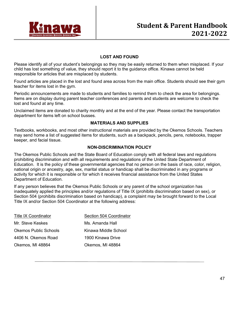

#### **LOST AND FOUND**

Please identify all of your student's belongings so they may be easily returned to them when misplaced. If your child has lost something of value, they should report it to the guidance office. Kinawa cannot be held responsible for articles that are misplaced by students.

Found articles are placed in the lost and found area across from the main office. Students should see their gym teacher for items lost in the gym.

Periodic announcements are made to students and families to remind them to check the area for belongings. Items are on display during parent teacher conferences and parents and students are welcome to check the lost and found at any time.

Unclaimed items are donated to charity monthly and at the end of the year. Please contact the transportation department for items left on school busses.

#### **MATERIALS AND SUPPLIES**

Textbooks, workbooks, and most other instructional materials are provided by the Okemos Schools. Teachers may send home a list of suggested items for students, such as a backpack, pencils, pens, notebooks, trapper keeper, and facial tissue.

#### **NON-DISCRIMINATION POLICY**

The Okemos Public Schools and the State Board of Education comply with all federal laws and regulations prohibiting discrimination and with all requirements and regulations of the United State Department of Education. It is the policy of these governmental agencies that no person on the basis of race, color, religion, national origin or ancestry, age, sex, marital status or handicap shall be discriminated in any programs or activity for which it is responsible or for which it receives financial assistance from the United States Department of Education.

If any person believes that the Okemos Public Schools or any parent of the school organization has inadequately applied the principles and/or regulations of Title IX (prohibits discrimination based on sex), or Section 504 (prohibits discrimination based on handicap), a complaint may be brought forward to the Local Title IX and/or Section 504 Coordinator at the following address:

| <b>Title IX Coordinator</b> | Section 504 Coordinator |
|-----------------------------|-------------------------|
| Mr. Steve Keskes            | Ms. Amanda Hall         |
| Okemos Public Schools       | Kinawa Middle School    |
| 4406 N. Okemos Road         | 1900 Kinawa Drive       |
| Okemos, MI 48864            | Okemos, MI 48864        |
|                             |                         |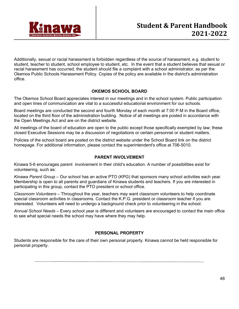

Additionally, sexual or racial harassment is forbidden regardless of the source of harassment, e.g. student to student, teacher to student, school employee to student, etc. In the event that a student believes that sexual or racial harassment has occurred, the student should file a complaint with a school administrator, as per the Okemos Public Schools Harassment Policy. Copies of the policy are available in the district's administration office.

#### **OKEMOS SCHOOL BOARD**

The Okemos School Board appreciates interest in our meetings and in the school system. Public participation and open lines of communication are vital to a successful educational environment for our schools.

Board meetings are conducted the second and fourth Monday of each month at 7:00 P.M in the Board office, located on the third floor of the administration building. Notice of all meetings are posted in accordance with the Open Meetings Act and are on the district website.

All meetings of the board of education are open to the public except those specifically exempted by law; these closed Executive Sessions may be a discussion of negotiations or certain personnel or student matters.

Policies of the school board are posted on the district website under the School Board link on the district homepage. For additional information, please contact the superintendent's office at 706-5010.

#### **PARENT INVOLVEMENT**

Kinawa 5-6 encourages parent involvement in their child's education. A number of possibilities exist for volunteering, such as:

*Kinawa Parent Group* – Our school has an active PTO (KPG) that sponsors many school activities each year. Membership is open to all parents and guardians of Kinawa students and teachers. If you are interested in participating in this group, contact the PTO president or school office.

*Classroom Volunteers* – Throughout the year, teachers may want classroom volunteers to help coordinate special classroom activities in classrooms. Contact the K.P.G. president or classroom teacher if you are interested. Volunteers will need to undergo a background check prior to volunteering in the school.

*Annual School Needs* – Every school year is different and volunteers are encouraged to contact the main office to see what special needs the school may have where they may help.

#### **PERSONAL PROPERTY**

Students are responsible for the care of their own personal property. Kinawa cannot be held responsible for personal property.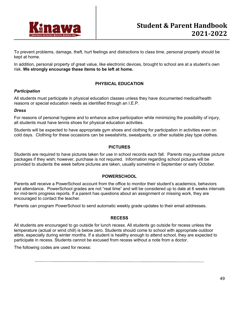

To prevent problems, damage, theft, hurt feelings and distractions to class time, personal property should be kept at home.

In addition, personal property of great value, like electronic devices, brought to school are at a student's own risk. **We strongly encourage these items to be left at home.**

#### **PHYSICAL EDUCATION**

#### *Participation*

All students must participate in physical education classes unless they have documented medical/health reasons or special education needs as identified through an I.E.P.

#### *Dress*

For reasons of personal hygiene and to enhance active participation while minimizing the possibility of injury, all students must have tennis shoes for physical education activities.

Students will be expected to have appropriate gym shoes and clothing for participation in activities even on cold days. Clothing for these occasions can be sweatshirts, sweatpants, or other suitable play type clothes.

#### **PICTURES**

Students are required to have pictures taken for use in school records each fall. Parents may purchase picture packages if they wish; however, purchase is not required. Information regarding school pictures will be provided to students the week before pictures are taken, usually sometime in September or early October.

#### **POWERSCHOOL**

Parents will receive a PowerSchool account from the office to monitor their student's academics, behaviors and attendance. PowerSchool grades are not "real time" and will be considered up to date at 6 weeks intervals for mid-term progress reports. If a parent has questions about an assignment or missing work, they are encouraged to contact the teacher.

Parents can program PowerSchool to send automatic weekly grade updates to their email addresses.

#### **RECESS**

All students are encouraged to go outside for lunch recess. All students go outside for recess unless the temperature (actual or wind chill) is below zero. Students should come to school with appropriate outdoor attire, especially during winter months. If a student is healthy enough to attend school, they are expected to participate in recess. Students cannot be excused from recess without a note from a doctor.

The following codes are used for recess: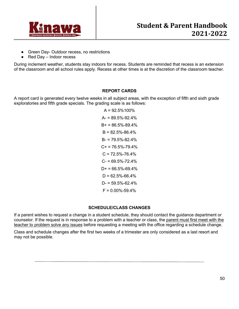

- Green Day- Outdoor recess, no restrictions
- Red Day Indoor recess

During inclement weather, students stay indoors for recess. Students are reminded that recess is an extension of the classroom and all school rules apply. Recess at other times is at the discretion of the classroom teacher.

#### **REPORT CARDS**

A report card is generated every twelve weeks in all subject areas, with the exception of fifth and sixth grade exploratories and fifth grade specials. The grading scale is as follows:

> $A = 92.5\%100\%$  $A = 89.5\% - 92.4\%$  $B+ = 86.5\% - 89.4\%$  $B = 82.5\% - 86.4\%$  $B = 79.5\% - 82.4\%$  $C_{+}$  = 76.5%-79.4%  $C = 72.5\% - 76.4\%$  $C = 69.5\% - 72.4\%$  $D+ = 66.5\% - 69.4\%$  $D = 62.5\% - 66.4\%$  $D = 59.5\% - 62.4\%$  $F = 0.00\% - 59.4\%$

## **SCHEDULE/CLASS CHANGES**

If a parent wishes to request a change in a student schedule, they should contact the guidance department or counselor. If the request is in response to a problem with a teacher or class, the parent must first meet with the teacher to problem solve any issues before requesting a meeting with the office regarding a schedule change.

Class and schedule changes after the first two weeks of a trimester are only considered as a last resort and may not be possible.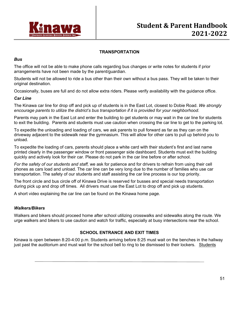

#### **TRANSPORTATION**

#### *Bus*

The office will not be able to make phone calls regarding bus changes or write notes for students if prior arrangements have not been made by the parent/guardian.

Students will not be allowed to ride a bus other than their own without a bus pass. They will be taken to their original destination.

Occasionally, buses are full and do not allow extra riders. Please verify availability with the guidance office.

#### *Car Line*

The Kinawa car line for drop off and pick up of students is in the East Lot, closest to Dobie Road. *We strongly encourage parents to utilize the district's bus transportation if it is provided for your neighborhood*.

Parents may park in the East Lot and enter the building to get students or may wait in the car line for students to exit the building. Parents and students must use caution when crossing the car line to get to the parking lot.

To expedite the unloading and loading of cars, we ask parents to pull forward as far as they can on the driveway adjacent to the sidewalk near the gymnasium. This will allow for other cars to pull up behind you to unload.

To expedite the loading of cars, parents should place a white card with their student's first and last name printed clearly in the passenger window or front passenger side dashboard. Students must exit the building quickly and actively look for their car. Please do not park in the car line before or after school.

*For the safety of our students and staff,* we ask for patience and for drivers to refrain from using their cell phones as cars load and unload. The car line can be very long due to the number of families who use car transportation. The safety of our students and staff assisting the car line process is our top priority.

The front circle and bus circle off of Kinawa Drive is reserved for busses and special needs transportation during pick up and drop off times. All drivers must use the East Lot to drop off and pick up students.

A short video explaining the car line can be found on the Kinawa home page.

#### *Walkers/Bikers*

Walkers and bikers should proceed home after school utilizing crosswalks and sidewalks along the route. We urge walkers and bikers to use caution and watch for traffic, especially at busy intersections near the school.

#### **SCHOOL ENTRANCE AND EXIT TIMES**

Kinawa is open between 8:20-4:00 p.m. Students arriving before 8:25 must wait on the benches in the hallway just past the auditorium and must wait for the school bell to ring to be dismissed to their lockers. Students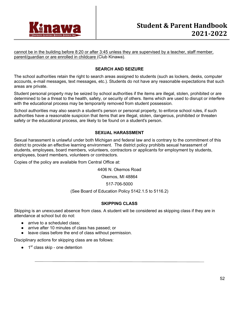

cannot be in the building before 8:20 or after 3:45 unless they are supervised by a teacher, staff member, parent/guardian or are enrolled in childcare (Club Kinawa).

#### **SEARCH AND SEIZURE**

The school authorities retain the right to search areas assigned to students (such as lockers, desks, computer accounts, e-mail messages, text messages, etc.). Students do not have any reasonable expectations that such areas are private.

Student personal property may be seized by school authorities if the items are illegal, stolen, prohibited or are determined to be a threat to the health, safety, or security of others. Items which are used to disrupt or interfere with the educational process may be temporarily removed from student possession.

School authorities may also search a student's person or personal property, to enforce school rules, if such authorities have a reasonable suspicion that items that are illegal, stolen, dangerous, prohibited or threaten safety or the educational process, are likely to be found on a student's person.

#### **SEXUAL HARASSMENT**

Sexual harassment is unlawful under both Michigan and federal law and is contrary to the commitment of this district to provide an effective learning environment. The district policy prohibits sexual harassment of students, employees, board members, volunteers, contractors or applicants for employment by students, employees, board members, volunteers or contractors.

Copies of the policy are available from Central Office at:

4406 N. Okemos Road

Okemos, MI 48864

517-706-5000

(See Board of Education Policy 5142.1.5 to 5116.2)

#### **SKIPPING CLASS**

Skipping is an unexcused absence from class. A student will be considered as skipping class if they are in attendance at school but do not:

- arrive to a scheduled class:
- arrive after 10 minutes of class has passed; or
- leave class before the end of class without permission.

Disciplinary actions for skipping class are as follows:

 $\bullet$  1<sup>st</sup> class skip - one detention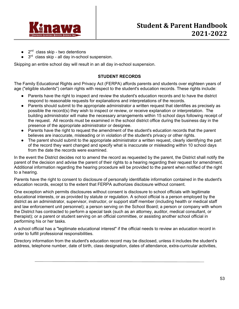

- $2<sup>nd</sup>$  class skip two detentions
- $3<sup>rd</sup>$  class skip all day in-school suspension.

Skipping an entire school day will result in an all day in-school suspension.

#### **STUDENT RECORDS**

The Family Educational Rights and Privacy Act (FERPA) affords parents and students over eighteen years of age ("eligible students") certain rights with respect to the student's education records. These rights include:

- Parents have the right to inspect and review the student's education records and to have the district respond to reasonable requests for explanations and interpretations of the records.
- Parents should submit to the appropriate administrator a written request that identifies as precisely as possible the record(s) they wish to inspect or review, or receive explanation or interpretation. The building administrator will make the necessary arrangements within 15 school days following receipt of the request. All records must be examined in the school district office during the business day in the presence of the appropriate administrator or designee.
- Parents have the right to request the amendment of the student's education records that the parent believes are inaccurate, misleading or in violation of the student's privacy or other rights.
- The parent should submit to the appropriate administrator a written request, clearly identifying the part of the record they want changed and specify what is inaccurate or misleading within 10 school days from the date the records were examined.

In the event the District decides not to amend the record as requested by the parent, the District shall notify the parent of the decision and advise the parent of their rights to a hearing regarding their request for amendment. Additional information regarding the hearing procedure will be provided to the parent when notified of the right to a hearing.

Parents have the right to consent to disclosure of personally identifiable information contained in the student's education records, except to the extent that FERPA authorizes disclosure without consent.

One exception which permits disclosures without consent is disclosure to school officials with legitimate educational interests, or as provided by statute or regulation. A school official is a person employed by the district as an administrator, supervisor, instructor, or support staff member (including health or medical staff and law enforcement unit personnel); a person serving on the School Board; a person or company with whom the District has contracted to perform a special task (such as an attorney, auditor, medical consultant, or therapist); or a parent or student serving on an official committee, or assisting another school official in performing his or her tasks.

A school official has a "legitimate educational interest" if the official needs to review an education record in order to fulfill professional responsibilities.

Directory information from the student's education record may be disclosed, unless it includes the student's address, telephone number, date of birth, class designation, dates of attendance, extra-curricular activities,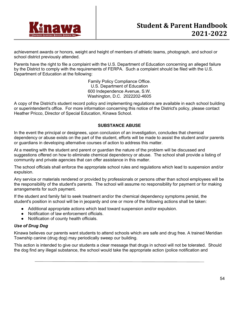

achievement awards or honors, weight and height of members of athletic teams, photograph, and school or school district previously attended.

Parents have the right to file a complaint with the U.S. Department of Education concerning an alleged failure by the District to comply with the requirements of FERPA. Such a complaint should be filed with the U.S. Department of Education at the following:

> Family Policy Compliance Office. U.S. Department of Education 600 Independence Avenue, S.W. Washington, D.C. 2022202-4605

A copy of the District's student record policy and implementing regulations are available in each school building or superintendent's office. For more information concerning this notice of the District's policy, please contact Heather Pricco, Director of Special Education, Kinawa School.

#### **SUBSTANCE ABUSE**

In the event the principal or designees, upon conclusion of an investigation, concludes that chemical dependency or abuse exists on the part of the student, efforts will be made to assist the student and/or parents or guardians in developing alternative courses of action to address this matter.

At a meeting with the student and parent or guardian the nature of the problem will be discussed and suggestions offered on how to eliminate chemical dependency or abuse. The school shall provide a listing of community and private agencies that can offer assistance in this matter.

The school officials shall enforce the appropriate school rules and regulations which lead to suspension and/or expulsion.

Any service or materials rendered or provided by professionals or persons other than school employees will be the responsibility of the student's parents. The school will assume no responsibility for payment or for making arrangements for such payment.

If the student and family fail to seek treatment and/or the chemical dependency symptoms persist, the student's position in school will be in jeopardy and one or more of the following actions shall be taken:

- Additional appropriate actions which lead toward suspension and/or expulsion.
- Notification of law enforcement officials.
- Notification of county health officials.

#### *Use of Drug Dog*

Kinawa believes our parents want students to attend schools which are safe and drug free. A trained Meridian Township canine (drug dog) may periodically sweep our building.

This action is intended to give our students a clear message that drugs in school will not be tolerated. Should the dog find any illegal substance, the school would take the appropriate action (police notification and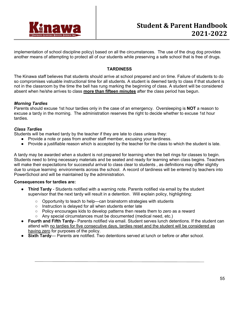

implementation of school discipline policy) based on all the circumstances. The use of the drug dog provides another means of attempting to protect all of our students while preserving a safe school that is free of drugs.

#### **TARDINESS**

The Kinawa staff believes that students should arrive at school prepared and on time. Failure of students to do so compromises valuable instructional time for all students. A student is deemed tardy to class if that student is not in the classroom by the time the bell has rung marking the beginning of class. A student will be considered absent when he/she arrives to class **more than fifteen minutes** after the class period has begun.

#### *Morning Tardies*

Parents should excuse 1st hour tardies only in the case of an emergency. Oversleeping is **NOT** a reason to excuse a tardy in the morning. The administration reserves the right to decide whether to excuse 1st hour tardies.

#### *Class Tardies*

Students will be marked tardy by the teacher if they are late to class unless they:

- Provide a note or pass from another staff member, excusing your tardiness.
- Provide a justifiable reason which is accepted by the teacher for the class to which the student is late.

A tardy may be awarded when a student is not prepared for learning when the bell rings for classes to begin. Students need to bring necessary materials and be seated and ready for learning when class begins. Teachers will make their expectations for successful arrival to class clear to students , as definitions may differ slightly due to unique learning environments across the school. A record of tardiness will be entered by teachers into PowerSchool and will be maintained by the administration.

#### **Consequences for tardies are:**

- **Third Tardy** Students notified with a warning note. Parents notified via email by the student supervisor that the next tardy will result in a detention. Will explain policy, highlighting:
	- Opportunity to teach to help—can brainstorm strategies with students
	- Instruction is delayed for all when students enter late
	- Policy encourages kids to develop patterns then resets them to zero as a reward
	- Any special circumstances must be documented (medical need, etc.)
- **Fourth and Fifth Tardy** Parents notified via email. Student serves lunch detentions. If the student can attend with no tardies for five consecutive days, tardies reset and the student will be considered as having zero for purposes of the policy.
- **Sixth Tardy** Parents are notified. Two detentions served at lunch or before or after school.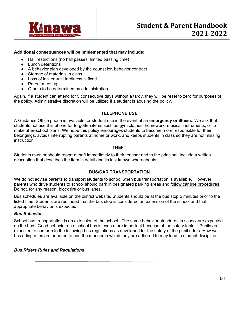

#### **Additional consequences will be implemented that may include:**

- Hall restrictions (no hall passes, limited passing time)
- Lunch detentions
- A behavior plan developed by the counselor, behavior contract
- Storage of materials in class
- Loss of locker until tardiness is fixed
- Parent meeting
- Others to be determined by administration

Again, if a student can attend for 5 consecutive days without a tardy, they will be reset to zero for purposes of the policy. Administrative discretion will be utilized if a student is abusing the policy.

#### **TELEPHONE USE**

A Guidance Office phone is available for student use in the event of an **emergency or illness**. We ask that students not use this phone for forgotten items such as gym clothes, homework, musical instruments, or to make after-school plans. We hope this policy encourages students to become more responsible for their belongings, avoids interrupting parents at home or work, and keeps students in class so they are not missing instruction.

#### **THEFT**

Students must or should report a theft immediately to their teacher and to the principal. Include a written description that describes the item in detail and its last known whereabouts.

#### **BUS/CAR TRANSPORTATION**

We do not advise parents to transport students to school when bus transportation is available. However, parents who drive students to school should park in designated parking areas and follow car line procedures. Do not, for any reason, block fire or bus lanes.

Bus schedules are available on the district website. Students should be at the bus stop 5 minutes prior to the listed time. Students are reminded that the bus stop is considered an extension of the school and that appropriate behavior is expected.

#### *Bus Behavior*

School bus transportation is an extension of the school. The same behavior standards in school are expected on the bus. Good behavior on a school bus is even more important because of the safety factor. Pupils are expected to conform to the following bus regulations as developed for the safety of the pupil riders. How well bus riding rules are adhered to and the manner in which they are adhered to may lead to student discipline.

#### *Bus Riders Rules and Regulations*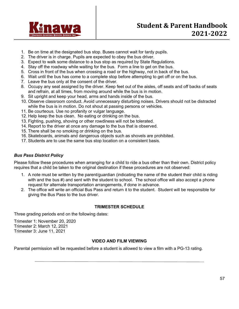

- 1. Be on time at the designated bus stop. Buses cannot wait for tardy pupils.
- 2. The driver is in charge. Pupils are expected to obey the bus driver.
- 3. Expect to walk some distance to a bus stop as required by State Regulations.
- 4. Stay off the roadway while waiting for the bus. Form a line to get on the bus.
- 5. Cross in front of the bus when crossing a road or the highway, not in back of the bus.
- 6. Wait until the bus has come to a complete stop before attempting to get off or on the bus.
- 7. Leave the bus only at the consent of the driver.
- 8. Occupy any seat assigned by the driver. Keep feet out of the aisles, off seats and off backs of seats and refrain, at all times, from moving around while the bus is in motion.
- 9. Sit upright and keep your head, arms and hands inside of the bus.
- 10. Observe classroom conduct. Avoid unnecessary disturbing noises. Drivers should not be distracted while the bus is in motion. Do not shout at passing persons or vehicles.
- 11. Be courteous. Use no profanity or vulgar language.
- 12. Help keep the bus clean. No eating or drinking on the bus.
- 13. Fighting, pushing, shoving or other rowdiness will not be tolerated.
- 14. Report to the driver at once any damage to the bus that is observed.
- 15. There shall be no smoking or drinking on the bus.
- 16. Skateboards, animals and dangerous objects such as shovels are prohibited.
- 17. Students are to use the same bus stop location on a consistent basis.

#### *Bus Pass District Policy*

Please follow these procedures when arranging for a child to ride a bus other than their own. District policy requires that a child be taken to the original destination if these procedures are not observed:

- 1. A note must be written by the parent/guardian (indicating the name of the student their child is riding with and the bus #) and sent with the student to school. The school office will also accept a phone request for alternate transportation arrangements, if done in advance.
- 2. The office will write an official Bus Pass and return it to the student. Student will be responsible for giving the Bus Pass to the bus driver.

#### **TRIMESTER SCHEDULE**

Three grading periods end on the following dates:

Trimester 1: November 20, 2020 Trimester 2: March 12, 2021 Trimester 3: June 11, 2021

#### **VIDEO AND FILM VIEWING**

Parental permission will be requested before a student is allowed to view a film with a PG-13 rating.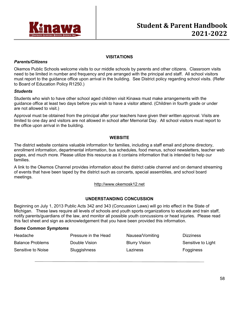

#### **VISITATIONS**

#### *Parents/Citizens*

Okemos Public Schools welcome visits to our middle schools by parents and other citizens. Classroom visits need to be limited in number and frequency and pre arranged with the principal and staff. All school visitors must report to the guidance office upon arrival in the building. See District policy regarding school visits. (Refer to Board of Education Policy R1250.)

#### *Students*

Students who wish to have other school aged children visit Kinawa must make arrangements with the guidance office at least two days before you wish to have a visitor attend. (Children in fourth grade or under are not allowed to visit.)

Approval must be obtained from the principal after your teachers have given their written approval. Visits are limited to one day and visitors are not allowed in school after Memorial Day. All school visitors must report to the office upon arrival in the building.

#### **WEBSITE**

The district website contains valuable information for families, including a staff email and phone directory, enrollment information, departmental information, bus schedules, food menus, school newsletters, teacher web pages, and much more. Please utilize this resource as it contains information that is intended to help our families.

A link to the Okemos Channel provides information about the district cable channel and on demand streaming of events that have been taped by the district such as concerts, special assemblies, and school board meetings.

http://www.okemosk12.net

#### **UNDERSTANDING CONCUSSION**

Beginning on July 1, 2013 Public Acts 342 and 343 (Concussion Laws) will go into effect in the State of Michigan. These laws require all levels of schools and youth sports organizations to educate and train staff, notify parents/guardians of the law, and monitor all possible youth concussions or head injuries. Please read this fact sheet and sign as acknowledgement that you have been provided this information.

#### *Some Common Symptoms*

| Headache                | Pressure in the Head | Nausea/Vomiting      | <b>Dizziness</b>   |
|-------------------------|----------------------|----------------------|--------------------|
| <b>Balance Problems</b> | Double Vision        | <b>Blurry Vision</b> | Sensitive to Light |
| Sensitive to Noise      | Sluggishness         | Laziness             | Fogginess          |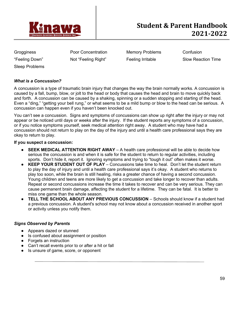

Grogginess Poor Concentration Memory Problems Confusion

"Feeling Down" Not "Feeling Right" Feeling Irritable Slow Reaction Time

Sleep Problems

#### *What is a Concussion?*

A concussion is a type of traumatic brain injury that changes the way the brain normally works. A concussion is caused by a fall, bump, blow, or jolt to the head or body that causes the head and brain to move quickly back and forth. A concussion can be caused by a shaking, spinning or a sudden stopping and starting of the head. Even a "ding," "getting your bell rung," or what seems to be a mild bump or blow to the head can be serious. A concussion can happen even if you haven't been knocked out.

You can't see a concussion. Signs and symptoms of concussions can show up right after the injury or may not appear or be noticed until days or weeks after the injury. If the student reports any symptoms of a concussion, or if you notice symptoms yourself, seek medical attention right away. A student who may have had a concussion should not return to play on the day of the injury and until a health care professional says they are okay to return to play.

#### **If you suspect a concussion:**

- **SEEK MEDICAL ATTENTION RIGHT AWAY** A health care professional will be able to decide how serious the concussion is and when it is safe for the student to return to regular activities, including sports. Don't hide it, report it. Ignoring symptoms and trying to "tough it out" often makes it worse.
- **KEEP YOUR STUDENT OUT OF PLAY** Concussions take time to heal. Don't let the student return to play the day of injury and until a health care professional says it's okay. A student who returns to play too soon, while the brain is still healing, risks a greater chance of having a second concussion. Young children and teens are more likely to get a concussion and take longer to recover than adults. Repeat or second concussions increase the time it takes to recover and can be very serious. They can cause permanent brain damage, affecting the student for a lifetime. They can be fatal. It is better to miss one game than the whole season.
- **TELL THE SCHOOL ABOUT ANY PREVIOUS CONCUSSION** Schools should know if a student had a previous concussion. A student's school may not know about a concussion received in another sport or activity unless you notify them.

#### *Signs Observed by Parents*

- Appears dazed or stunned
- Is confused about assignment or position
- Forgets an instruction
- Can't recall events prior to or after a hit or fall
- Is unsure of game, score, or opponent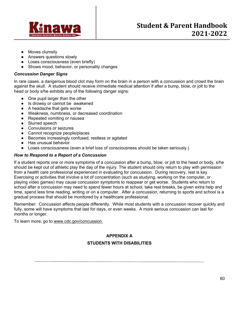

- Moves clumsily
- Answers questions slowly
- Loses consciousness (even briefly)
- Shows mood, behavior, or personality changes

#### *Concussion Danger Signs*

In rare cases, a dangerous blood clot may form on the brain in a person with a concussion and crowd the brain against the skull. A student should receive immediate medical attention if after a bump, blow, or jolt to the head or body s/he exhibits any of the following danger signs:

- One pupil larger than the other
- Is drowsy or cannot be awakened
- A headache that gets worse
- Weakness, numbness, or decreased coordination
- Repeated vomiting or nausea
- Slurred speech
- Convulsions or seizures
- Cannot recognize people/places
- Becomes increasingly confused, restless or agitated
- Has unusual behavior
- Loses consciousness (even a brief loss of consciousness should be taken seriously.)

#### *How to Respond to a Report of a Concussion*

If a student reports one or more symptoms of a concussion after a bump, blow, or jolt to the head or body, s/he should be kept out of athletic play the day of the injury. The student should only return to play with permission from a health care professional experienced in evaluating for concussion. During recovery, rest is key. Exercising or activities that involve a lot of concentration (such as studying, working on the computer, or playing video games) may cause concussion symptoms to reappear or get worse. Students who return to school after a concussion may need to spend fewer hours at school, take rest breaks, be given extra help and time, spend less time reading, writing or on a computer. After a concussion, returning to sports and school is a gradual process that should be monitored by a healthcare professional.

Remember: Concussion affects people differently. While most students with a concussion recover quickly and fully, some will have symptoms that last for days, or even weeks. A more serious concussion can last for months or longer.

To learn more, go to www.cdc.gov/concussion.

## **APPENDIX A STUDENTS WITH DISABILITIES**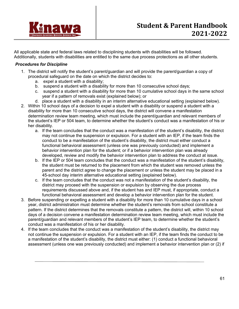

All applicable state and federal laws related to disciplining students with disabilities will be followed. Additionally, students with disabilities are entitled to the same due process protections as all other students.

#### *Procedures for Discipline*

- 1. The district will notify the student's parent/guardian and will provide the parent/guardian a copy of procedural safeguard on the date on which the district decides to:
	- a. expel a student with a disability;
	- b. suspend a student with a disability for more than 10 consecutive school days;
	- c. suspend a student with a disability for more than 10 cumulative school days in the same school year if a pattern of removals exist (explained below); or
	- d. place a student with a disability in an interim alternative educational setting (explained below).
- 2. Within 10 school days of a decision to expel a student with a disability or suspend a student with a disability for more than 10 consecutive school days, the district will convene a manifestation determination review team meeting, which must include the parent/guardian and relevant members of the student's IEP or 504 team, to determine whether the student's conduct was a manifestation of his or her disability.
	- a. If the team concludes that the conduct was a manifestation of the student's disability, the district may not continue the suspension or expulsion. For a student with an IEP, if the team finds the conduct to be a manifestation of the student's disability, the district must either conduct a functional behavioral assessment (unless one was previously conducted) and implement a behavior intervention plan for the student; or if a behavior intervention plan was already developed, review and modify the behavior intervention plan to address the conduct at issue.
	- b. If the IEP or 504 team concludes that the conduct was a manifestation of the student's disability, the student must be returned to the placement from which the student was removed unless the parent and the district agree to change the placement or unless the student may be placed in a 45-school day interim alternative educational setting (explained below).
	- c. If the team concludes that the conduct was not a manifestation of the student's disability, the district may proceed with the suspension or expulsion by observing the due process requirements discussed above and, if the student has and IEP must, if appropriate, conduct a functional behavioral assessment and develop a behavior intervention plan for the student.
- 3. Before suspending or expelling a student with a disability for more than 10 cumulative days in a school year, district administration must determine whether the student's removals from school constitute a pattern. If the district determines that the removals constitute a pattern, the district will, within 10 school days of a decision convene a manifestation determination review team meeting, which must include the parent/guardian and relevant members of the student's IEP team, to determine whether the student's conduct was a manifestation of his or her disability.
- 4. If the team concludes that the conduct was a manifestation of the student's disability, the district may not continue the suspension or expulsion. For a student with an IEP, if the team finds the conduct to be a manifestation of the student's disability, the district must either: (1) conduct a functional behavioral assessment (unless one was previously conducted) and implement a behavior intervention plan or (2) if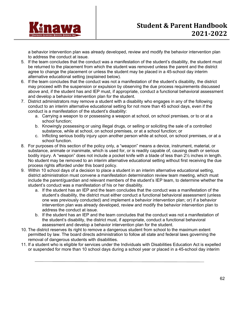

a behavior intervention plan was already developed, review and modify the behavior intervention plan to address the conduct at issue.

- 5. If the team concludes that the conduct was a manifestation of the student's disability, the student must be returned to the placement from which the student was removed unless the parent and the district agree to change the placement or unless the student may be placed in a 45-school day interim alternative educational setting (explained below).
- 6. If the team concludes that the conduct was not a manifestation of the student's disability, the district may proceed with the suspension or expulsion by observing the due process requirements discussed above and, if the student has and IEP must, if appropriate, conduct a functional behavioral assessment and develop a behavior intervention plan for the student.
- 7. District administrators may remove a student with a disability who engages in any of the following conduct to an interim alternative educational setting for not more than 45 school days, even if the conduct is a manifestation of the student's disability:
	- a. Carrying a weapon to or possessing a weapon at school, on school premises, or to or at a school function;
	- b. Knowingly possessing or using illegal drugs, or selling or soliciting the sale of a controlled substance, while at school, on school premises, or at a school function; or
	- c. Inflicting serious bodily injury upon another person while at school, on school premises, or at a school function.
- 8. For purposes of this section of the policy only, a "weapon" means a device, instrument, material, or substance, animate or inanimate, which is used for, or is readily capable of, causing death or serious bodily injury. A "weapon" does not include a pocket knife with a blade of less than 2½ inches in length. No student may be removed to an interim alternative educational setting without first receiving the due process rights afforded under this board policy.
- 9. Within 10 school days of a decision to place a student in an interim alternative educational setting, district administration must convene a manifestation determination review team meeting, which must include the parent/guardian and relevant members of the student's IEP team, to determine whether the student's conduct was a manifestation of his or her disability.
	- a. If the student has an IEP and the team concludes that the conduct was a manifestation of the student's disability, the district must either conduct a functional behavioral assessment (unless one was previously conducted) and implement a behavior intervention plan; or) if a behavior intervention plan was already developed, review and modify the behavior intervention plan to address the conduct at issue.
	- b. If the student has an IEP and the team concludes that the conduct was not a manifestation of the student's disability, the district must, if appropriate, conduct a functional behavioral assessment and develop a behavior intervention plan for the student.
- 10. The district reserves its right to remove a dangerous student from school to the maximum extent permitted by law. The board directs administration to follow all state and federal laws governing the removal of dangerous students with disabilities.
- 11. If a student who is eligible for services under the Individuals with Disabilities Education Act is expelled or suspended for more than 10 school days during a school year or placed in a 45-school day interim